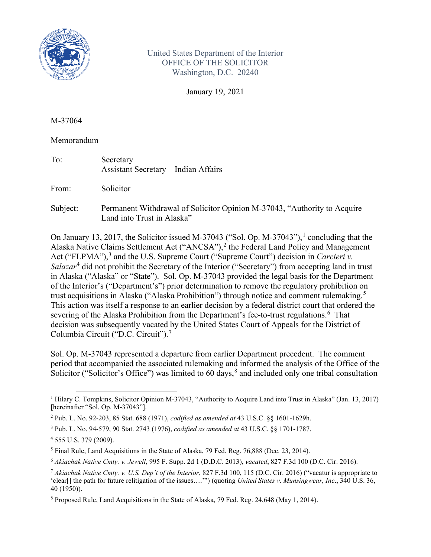

United States Department of the Interior OFFICE OF THE SOLICITOR Washington, D.C. 20240

January 19, 2021

M-37064

Memorandum

| To:      | Secretary<br>Assistant Secretary – Indian Affairs                                                      |
|----------|--------------------------------------------------------------------------------------------------------|
| From:    | Solicitor                                                                                              |
| Subject: | Permanent Withdrawal of Solicitor Opinion M-37043, "Authority to Acquire<br>Land into Trust in Alaska" |

On January [1](#page-0-0)3, 2017, the Solicitor issued M-37043 ("Sol. Op. M-37043"),<sup>1</sup> concluding that the Alaska Native Claims Settlement Act ("ANCSA"),<sup>[2](#page-0-1)</sup> the Federal Land Policy and Management Act ("FLPMA"),<sup>[3](#page-0-2)</sup> and the U.S. Supreme Court ("Supreme Court") decision in *Carcieri v. Salazar*[4](#page-0-3) did not prohibit the Secretary of the Interior ("Secretary") from accepting land in trust in Alaska ("Alaska" or "State"). Sol. Op. M-37043 provided the legal basis for the Department of the Interior's ("Department's") prior determination to remove the regulatory prohibition on trust acquisitions in Alaska ("Alaska Prohibition") through notice and comment rulemaking.<sup>[5](#page-0-4)</sup> This action was itself a response to an earlier decision by a federal district court that ordered the severing of the Alaska Prohibition from the Department's fee-to-trust regulations.<sup>[6](#page-0-5)</sup> That decision was subsequently vacated by the United States Court of Appeals for the District of Columbia Circuit ("D.C. Circuit"). [7](#page-0-6)

Sol. Op. M-37043 represented a departure from earlier Department precedent. The comment period that accompanied the associated rulemaking and informed the analysis of the Office of the Solicitor ("Solicitor's Office") was limited to 60 days,  $\frac{8}{3}$  $\frac{8}{3}$  $\frac{8}{3}$  and included only one tribal consultation

<span id="page-0-0"></span><sup>1</sup> Hilary C. Tompkins, Solicitor Opinion M-37043, "Authority to Acquire Land into Trust in Alaska" (Jan. 13, 2017) [hereinafter "Sol. Op. M-37043"].

<span id="page-0-1"></span><sup>2</sup> Pub. L. No. 92-203, 85 Stat. 688 (1971), *codified as amended at* 43 U.S.C. §§ 1601-1629h.

<span id="page-0-2"></span><sup>3</sup> Pub. L. No. 94-579, 90 Stat. 2743 (1976), *codified as amended at* 43 U.S.C. §§ 1701-1787.

<span id="page-0-3"></span><sup>4</sup> 555 U.S. 379 (2009).

<span id="page-0-4"></span><sup>5</sup> Final Rule, Land Acquisitions in the State of Alaska, 79 Fed. Reg. 76,888 (Dec. 23, 2014).

<span id="page-0-5"></span><sup>6</sup> *Akiachak Native Cmty. v. Jewell*, 995 F. Supp. 2d 1 (D.D.C. 2013), *vacated*, 827 F.3d 100 (D.C. Cir. 2016).

<span id="page-0-6"></span><sup>7</sup> *Akiachak Native Cmty. v. U.S. Dep't of the Interior*, 827 F.3d 100, 115 (D.C. Cir. 2016) ("vacatur is appropriate to 'clear[] the path for future relitigation of the issues….'") (quoting *United States v. Munsingwear, Inc*., 340 U.S. 36, 40 (1950)).

<span id="page-0-7"></span> $8$  Proposed Rule, Land Acquisitions in the State of Alaska, 79 Fed. Reg. 24,648 (May 1, 2014).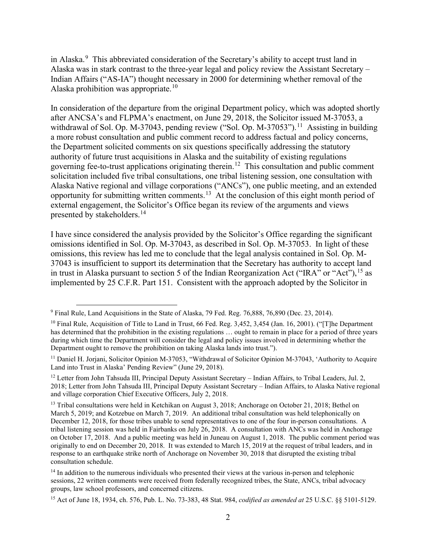in Alaska.<sup>[9](#page-1-0)</sup> This abbreviated consideration of the Secretary's ability to accept trust land in Alaska was in stark contrast to the three-year legal and policy review the Assistant Secretary – Indian Affairs ("AS-IA") thought necessary in 2000 for determining whether removal of the Alaska prohibition was appropriate.<sup>[10](#page-1-1)</sup>

In consideration of the departure from the original Department policy, which was adopted shortly after ANCSA's and FLPMA's enactment, on June 29, 2018, the Solicitor issued M-37053, a withdrawal of Sol. Op. M-37043, pending review ("Sol. Op. M-37053").<sup>[11](#page-1-2)</sup> Assisting in building a more robust consultation and public comment record to address factual and policy concerns, the Department solicited comments on six questions specifically addressing the statutory authority of future trust acquisitions in Alaska and the suitability of existing regulations governing fee-to-trust applications originating therein.<sup>12</sup> This consultation and public comment solicitation included five tribal consultations, one tribal listening session, one consultation with Alaska Native regional and village corporations ("ANCs"), one public meeting, and an extended opportunity for submitting written comments.[13](#page-1-4) At the conclusion of this eight month period of external engagement, the Solicitor's Office began its review of the arguments and views presented by stakeholders.<sup>14</sup>

I have since considered the analysis provided by the Solicitor's Office regarding the significant omissions identified in Sol. Op. M-37043, as described in Sol. Op. M-37053. In light of these omissions, this review has led me to conclude that the legal analysis contained in Sol. Op. M-37043 is insufficient to support its determination that the Secretary has authority to accept land in trust in Alaska pursuant to section 5 of the Indian Reorganization Act ("IRA" or "Act"), <sup>[15](#page-1-6)</sup> as implemented by 25 C.F.R. Part 151. Consistent with the approach adopted by the Solicitor in

<span id="page-1-0"></span><sup>9</sup> Final Rule, Land Acquisitions in the State of Alaska, 79 Fed. Reg. 76,888, 76,890 (Dec. 23, 2014).

<span id="page-1-1"></span><sup>&</sup>lt;sup>10</sup> Final Rule, Acquisition of Title to Land in Trust, 66 Fed. Reg. 3,452, 3,454 (Jan. 16, 2001). ("[T]he Department has determined that the prohibition in the existing regulations ... ought to remain in place for a period of three years during which time the Department will consider the legal and policy issues involved in determining whether the Department ought to remove the prohibition on taking Alaska lands into trust.").

<span id="page-1-2"></span><sup>&</sup>lt;sup>11</sup> Daniel H. Jorjani, Solicitor Opinion M-37053, "Withdrawal of Solicitor Opinion M-37043, 'Authority to Acquire Land into Trust in Alaska' Pending Review" (June 29, 2018).

<span id="page-1-3"></span><sup>&</sup>lt;sup>12</sup> Letter from John Tahsuda III, Principal Deputy Assistant Secretary – Indian Affairs, to Tribal Leaders, Jul. 2, 2018; Letter from John Tahsuda III, Principal Deputy Assistant Secretary – Indian Affairs, to Alaska Native regional and village corporation Chief Executive Officers, July 2, 2018.

<span id="page-1-4"></span><sup>&</sup>lt;sup>13</sup> Tribal consultations were held in Ketchikan on August 3, 2018; Anchorage on October 21, 2018; Bethel on March 5, 2019; and Kotzebue on March 7, 2019. An additional tribal consultation was held telephonically on December 12, 2018, for those tribes unable to send representatives to one of the four in-person consultations. A tribal listening session was held in Fairbanks on July 26, 2018. A consultation with ANCs was held in Anchorage on October 17, 2018. And a public meeting was held in Juneau on August 1, 2018. The public comment period was originally to end on December 20, 2018. It was extended to March 15, 2019 at the request of tribal leaders, and in response to an earthquake strike north of Anchorage on November 30, 2018 that disrupted the existing tribal consultation schedule.

<span id="page-1-5"></span><sup>&</sup>lt;sup>14</sup> In addition to the numerous individuals who presented their views at the various in-person and telephonic sessions, 22 written comments were received from federally recognized tribes, the State, ANCs, tribal advocacy groups, law school professors, and concerned citizens.

<span id="page-1-6"></span><sup>15</sup> Act of June 18, 1934, ch. 576, Pub. L. No. 73-383, 48 Stat. 984, *codified as amended at* 25 U.S.C. §§ 5101-5129.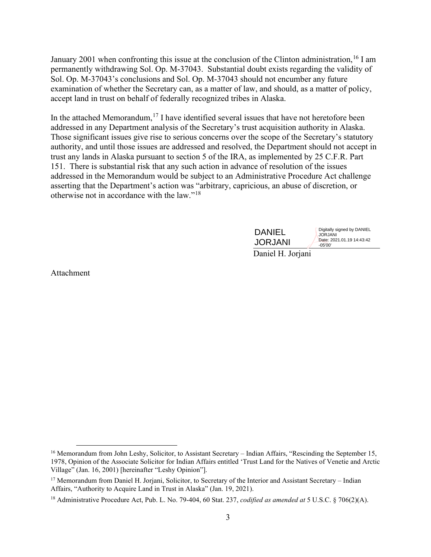January 2001 when confronting this issue at the conclusion of the Clinton administration,  $16$  I am permanently withdrawing Sol. Op. M-37043. Substantial doubt exists regarding the validity of Sol. Op. M-37043's conclusions and Sol. Op. M-37043 should not encumber any future examination of whether the Secretary can, as a matter of law, and should, as a matter of policy, accept land in trust on behalf of federally recognized tribes in Alaska.

In the attached Memorandum,<sup>[17](#page-2-1)</sup> I have identified several issues that have not heretofore been addressed in any Department analysis of the Secretary's trust acquisition authority in Alaska. Those significant issues give rise to serious concerns over the scope of the Secretary's statutory authority, and until those issues are addressed and resolved, the Department should not accept in trust any lands in Alaska pursuant to section 5 of the IRA, as implemented by 25 C.F.R. Part 151. There is substantial risk that any such action in advance of resolution of the issues addressed in the Memorandum would be subject to an Administrative Procedure Act challenge asserting that the Department's action was "arbitrary, capricious, an abuse of discretion, or otherwise not in accordance with the law."[18](#page-2-2) 

| <b>DANIEL</b>          | Digitally signed by DANIEL<br><b>JORJANI</b> |
|------------------------|----------------------------------------------|
| <b>JORJANI</b>         | Date: 2021.01.19 14:43:42<br>$-05'00'$       |
| $\mathbf{D}$ : 1 II I: |                                              |

Daniel H. Jorjani

Attachment

<span id="page-2-0"></span><sup>&</sup>lt;sup>16</sup> Memorandum from John Leshy, Solicitor, to Assistant Secretary – Indian Affairs, "Rescinding the September 15, 1978, Opinion of the Associate Solicitor for Indian Affairs entitled 'Trust Land for the Natives of Venetie and Arctic Village" (Jan. 16, 2001) [hereinafter "Leshy Opinion"].

<span id="page-2-1"></span><sup>&</sup>lt;sup>17</sup> Memorandum from Daniel H. Jorjani, Solicitor, to Secretary of the Interior and Assistant Secretary – Indian Affairs, "Authority to Acquire Land in Trust in Alaska" (Jan. 19, 2021).

<span id="page-2-2"></span><sup>18</sup> Administrative Procedure Act, Pub. L. No. 79-404, 60 Stat. 237, *codified as amended at* 5 U.S.C. § 706(2)(A).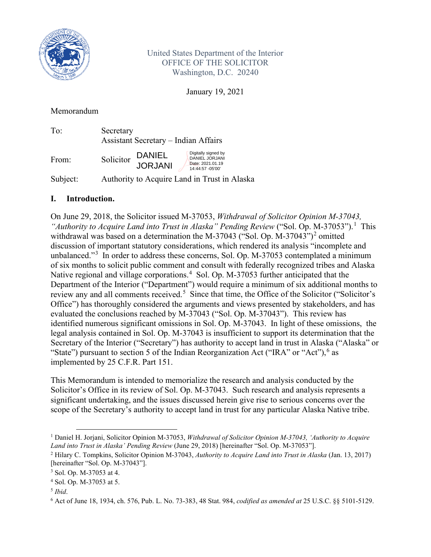

United States Department of the Interior OFFICE OF THE SOLICITOR Washington, D.C. 20240

January 19, 2021

## Memorandum

| To:       | Secretary<br><b>Assistant Secretary – Indian Affairs</b> |                                                                                                       |                                                                                |
|-----------|----------------------------------------------------------|-------------------------------------------------------------------------------------------------------|--------------------------------------------------------------------------------|
| From:     | Solicitor                                                | DANIEL<br><b>JORJANI</b>                                                                              | Digitally signed by<br>DANIEL JORJANI<br>Date: 2021.01.19<br>14:44:57 - 05'00' |
| $C = 1$ . |                                                          | $\lambda$ and a state $\lambda$ and $\lambda$ and $\lambda$ and $\lambda$ and $\lambda$ and $\lambda$ |                                                                                |

Subject: Authority to Acquire Land in Trust in Alaska

# **I. Introduction.**

On June 29, 2018, the Solicitor issued M-37053, *Withdrawal of Solicitor Opinion M-37043,*  "Authority to Acquire Land into Trust in Alaska" Pending Review ("Sol. Op. M-37053").<sup>[1](#page-3-0)</sup> This withdrawal was based on a determination the M-37043 ("Sol. Op. M-37043")<sup>[2](#page-3-1)</sup> omitted discussion of important statutory considerations, which rendered its analysis "incomplete and unbalanced."<sup>[3](#page-3-2)</sup> In order to address these concerns, Sol. Op. M-37053 contemplated a minimum of six months to solicit public comment and consult with federally recognized tribes and Alaska Native regional and village corporations.<sup>[4](#page-3-3)</sup> Sol. Op. M-37053 further anticipated that the Department of the Interior ("Department") would require a minimum of six additional months to review any and all comments received.<sup>[5](#page-3-4)</sup> Since that time, the Office of the Solicitor ("Solicitor's Office") has thoroughly considered the arguments and views presented by stakeholders, and has evaluated the conclusions reached by M-37043 ("Sol. Op. M-37043"). This review has identified numerous significant omissions in Sol. Op. M-37043. In light of these omissions, the legal analysis contained in Sol. Op. M-37043 is insufficient to support its determination that the Secretary of the Interior ("Secretary") has authority to accept land in trust in Alaska ("Alaska" or "State") pursuant to section 5 of the Indian Reorganization Act ("IRA" or "Act"),  $6$  as implemented by 25 C.F.R. Part 151.

This Memorandum is intended to memorialize the research and analysis conducted by the Solicitor's Office in its review of Sol. Op. M-37043. Such research and analysis represents a significant undertaking, and the issues discussed herein give rise to serious concerns over the scope of the Secretary's authority to accept land in trust for any particular Alaska Native tribe.

<span id="page-3-0"></span><sup>1</sup> Daniel H. Jorjani, Solicitor Opinion M-37053, *Withdrawal of Solicitor Opinion M-37043, 'Authority to Acquire Land into Trust in Alaska' Pending Review* (June 29, 2018) [hereinafter "Sol. Op. M-37053"].

<span id="page-3-1"></span><sup>2</sup> Hilary C. Tompkins, Solicitor Opinion M-37043, *Authority to Acquire Land into Trust in Alaska* (Jan. 13, 2017) [hereinafter "Sol. Op. M-37043"].

<span id="page-3-2"></span><sup>3</sup> Sol. Op. M-37053 at 4.

<span id="page-3-3"></span><sup>4</sup> Sol. Op. M-37053 at 5.

<span id="page-3-4"></span><sup>5</sup> *Ibid*.

<span id="page-3-5"></span><sup>6</sup> Act of June 18, 1934, ch. 576, Pub. L. No. 73-383, 48 Stat. 984, *codified as amended at* 25 U.S.C. §§ 5101-5129.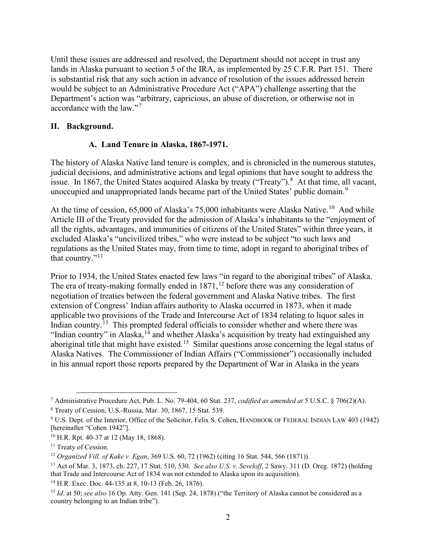Until these issues are addressed and resolved, the Department should not accept in trust any lands in Alaska pursuant to section 5 of the IRA, as implemented by 25 C.F.R. Part 151. There is substantial risk that any such action in advance of resolution of the issues addressed herein would be subject to an Administrative Procedure Act ("APA") challenge asserting that the Department's action was "arbitrary, capricious, an abuse of discretion, or otherwise not in accordance with the law."<sup>[7](#page-4-0)</sup>

## **II. Background.**

## **A. Land Tenure in Alaska, 1867-1971.**

The history of Alaska Native land tenure is complex, and is chronicled in the numerous statutes, judicial decisions, and administrative actions and legal opinions that have sought to address the issue. In 1[8](#page-4-1)67, the United States acquired Alaska by treaty ("Treaty").<sup>8</sup> At that time, all vacant, unoccupied and unappropriated lands became part of the United States' public domain.<sup>[9](#page-4-2)</sup>

At the time of cession, 65,000 of Alaska's 75,000 inhabitants were Alaska Native.<sup>[10](#page-4-3)</sup> And while Article III of the Treaty provided for the admission of Alaska's inhabitants to the "enjoyment of all the rights, advantages, and immunities of citizens of the United States" within three years, it excluded Alaska's "uncivilized tribes," who were instead to be subject "to such laws and regulations as the United States may, from time to time, adopt in regard to aboriginal tribes of that country."<sup>[11](#page-4-4)</sup>

Prior to 1934, the United States enacted few laws "in regard to the aboriginal tribes" of Alaska. The era of treaty-making formally ended in 1871,<sup>[12](#page-4-5)</sup> before there was any consideration of negotiation of treaties between the federal government and Alaska Native tribes. The first extension of Congress' Indian affairs authority to Alaska occurred in 1873, when it made applicable two provisions of the Trade and Intercourse Act of 1834 relating to liquor sales in Indian country.<sup>[13](#page-4-6)</sup> This prompted federal officials to consider whether and where there was "Indian country" in Alaska,<sup>[14](#page-4-7)</sup> and whether Alaska's acquisition by treaty had extinguished any aboriginal title that might have existed.<sup>[15](#page-4-8)</sup> Similar questions arose concerning the legal status of Alaska Natives. The Commissioner of Indian Affairs ("Commissioner") occasionally included in his annual report those reports prepared by the Department of War in Alaska in the years

<span id="page-4-0"></span><sup>7</sup> Administrative Procedure Act, Pub. L. No. 79-404, 60 Stat. 237, *codified as amended at* 5 U.S.C. § 706(2)(A).

<span id="page-4-1"></span><sup>8</sup> Treaty of Cession, U.S.-Russia, Mar. 30, 1867, 15 Stat. 539.

<span id="page-4-2"></span><sup>9</sup> U.S. Dept. of the Interior, Office of the Solicitor, Felix S. Cohen, HANDBOOK OF FEDERAL INDIAN LAW 403 (1942)

<span id="page-4-3"></span><sup>[</sup>hereinafter "Cohen 1942"]. 10 H.R. Rpt. 40-37 at 12 (May 18, 1868).

<span id="page-4-4"></span><sup>&</sup>lt;sup>11</sup> Treaty of Cession.

<span id="page-4-5"></span><sup>12</sup> *Organized Vill. of Kake v. Egan*, 369 U.S. 60, 72 (1962) (citing 16 Stat. 544, 566 (1871)).

<span id="page-4-6"></span><sup>13</sup> Act of Mar. 3, 1873, ch. 227, 17 Stat. 510, 530. *See also U.S. v. Seveloff*, 2 Sawy. 311 (D. Oreg. 1872) (holding that Trade and Intercourse Act of 1834 was not extended to Alaska upon its acquisition).

<span id="page-4-7"></span><sup>14</sup> H.R. Exec. Doc. 44-135 at 8, 10-13 (Feb. 26, 1876).

<span id="page-4-8"></span><sup>&</sup>lt;sup>15</sup> *Id.* at 50; *see also* 16 Op. Atty. Gen. 141 (Sep. 24, 1878) ("the Territory of Alaska cannot be considered as a country belonging to an Indian tribe").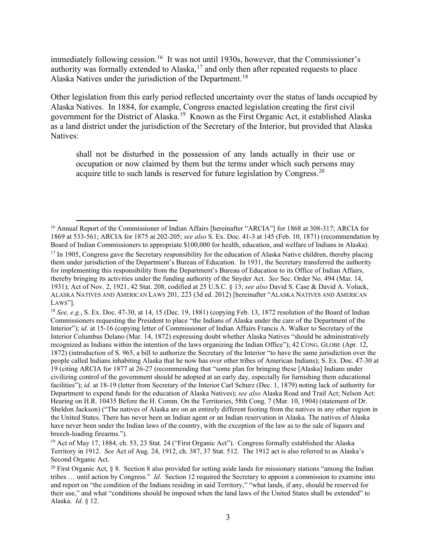immediately following cession.<sup>[16](#page-5-0)</sup> It was not until 1930s, however, that the Commissioner's authority was formally extended to Alaska,<sup>[17](#page-5-1)</sup> and only then after repeated requests to place Alaska Natives under the jurisdiction of the Department.<sup>[18](#page-5-2)</sup>

Other legislation from this early period reflected uncertainty over the status of lands occupied by Alaska Natives. In 1884, for example, Congress enacted legislation creating the first civil government for the District of Alaska.<sup>[19](#page-5-3)</sup> Known as the First Organic Act, it established Alaska as a land district under the jurisdiction of the Secretary of the Interior, but provided that Alaska Natives:

shall not be disturbed in the possession of any lands actually in their use or occupation or now claimed by them but the terms under which such persons may acquire title to such lands is reserved for future legislation by Congress.<sup>[20](#page-5-4)</sup>

<span id="page-5-0"></span><sup>&</sup>lt;sup>16</sup> Annual Report of the Commissioner of Indian Affairs [hereinafter "ARCIA"] for 1868 at 308-317; ARCIA for 1869 at 533-561; ARCIA for 1875 at 202-205; *see also* S. Ex. Doc. 41-3 at 145 (Feb. 10, 1871) (recommendation by Board of Indian Commissioners to appropriate \$100,000 for health, education, and welfare of Indians in Alaska).

<span id="page-5-1"></span><sup>&</sup>lt;sup>17</sup> In 1905, Congress gave the Secretary responsibility for the education of Alaska Native children, thereby placing them under jurisdiction of the Department's Bureau of Education. In 1931, the Secretary transferred the authority for implementing this responsibility from the Department's Bureau of Education to its Office of Indian Affairs, thereby bringing its activities under the funding authority of the Snyder Act. *See* Sec. Order No. 494 (Mar. 14, 1931); Act of Nov. 2, 1921, 42 Stat. 208, codified at 25 U.S.C. § 13; *see also* David S. Case & David A. Voluck, ALASKA NATIVES AND AMERICAN LAWS 201, 223 (3d ed. 2012) [hereinafter "ALASKA NATIVES AND AMERICAN LAWS"]. 18 *See, e.g.*, S. Ex. Doc. 47-30, at 14, 15 (Dec. 19, 1881) (copying Feb. 13, 1872 resolution of the Board of Indian

<span id="page-5-2"></span>Commissioners requesting the President to place "the Indians of Alaska under the care of the Department of the Interior"); *id*. at 15-16 (copying letter of Commissioner of Indian Affairs Francis A. Walker to Secretary of the Interior Columbus Delano (Mar. 14, 1872) expressing doubt whether Alaska Natives "should be administratively recognized as Indians within the intention of the laws organizing the Indian Office"); 42 CONG. GLOBE (Apr. 12, 1872) (introduction of S. 965, a bill to authorize the Secretary of the Interior "to have the same jurisdiction over the people called Indians inhabiting Alaska that he now has over other tribes of American Indians); S. Ex. Doc. 47-30 at 19 (citing ARCIA for 1877 at 26-27 (recommending that "some plan for bringing these [Alaska] Indians under civilizing control of the government should be adopted at an early day, especially for furnishing them educational facilities"); *id.* at 18-19 (letter from Secretary of the Interior Carl Schurz (Dec. 1, 1879) noting lack of authority for Department to expend funds for the education of Alaska Natives); *see also* Alaska Road and Trail Act; Nelson Act: Hearing on H.R. 10435 Before the H. Comm. On the Territories, 58th Cong. 7 (Mar. 10, 1904) (statement of Dr. Sheldon Jackson) ("The natives of Alaska are on an entirely different footing from the natives in any other region in the United States. There has never been an Indian agent or an Indian reservation in Alaska. The natives of Alaska have never been under the Indian laws of the country, with the exception of the law as to the sale of liquors and breech-loading firearms.").<br><sup>19</sup> Act of May 17, 1884, ch. 53, 23 Stat. 24 ("First Organic Act"). Congress formally established the Alaska

<span id="page-5-3"></span>Territory in 1912. *See* Act of Aug. 24, 1912, ch. 387, 37 Stat. 512. The 1912 act is also referred to as Alaska's Second Organic Act.

<span id="page-5-4"></span><sup>&</sup>lt;sup>20</sup> First Organic Act, § 8. Section 8 also provided for setting aside lands for missionary stations "among the Indian tribes … until action by Congress." *Id*. Section 12 required the Secretary to appoint a commission to examine into and report on "the condition of the Indians residing in said Territory," "what lands, if any, should be reserved for their use," and what "conditions should be imposed when the land laws of the United States shall be extended" to Alaska. *Id*. § 12.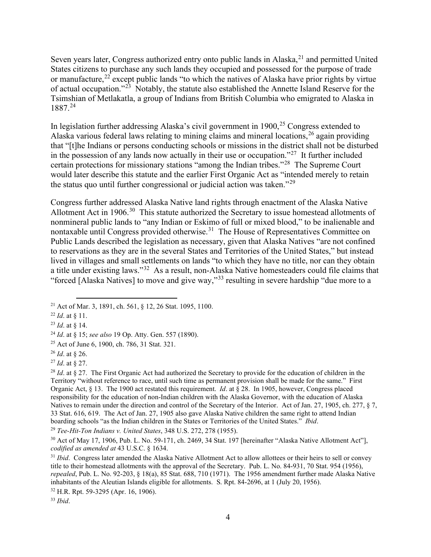Seven years later, Congress authorized entry onto public lands in Alaska,<sup>[21](#page-6-0)</sup> and permitted United States citizens to purchase any such lands they occupied and possessed for the purpose of trade or manufacture,  $22$  except public lands "to which the natives of Alaska have prior rights by virtue of actual occupation."<sup>[23](#page-6-2)</sup> Notably, the statute also established the Annette Island Reserve for the Tsimshian of Metlakatla, a group of Indians from British Columbia who emigrated to Alaska in 1887. [24](#page-6-3)

In legislation further addressing Alaska's civil government in 1900,<sup>[25](#page-6-4)</sup> Congress extended to Alaska various federal laws relating to mining claims and mineral locations,  $^{26}$  $^{26}$  $^{26}$  again providing that "[t]he Indians or persons conducting schools or missions in the district shall not be disturbed in the possession of any lands now actually in their use or occupation."<sup>[27](#page-6-6)</sup> It further included certain protections for missionary stations "among the Indian tribes."[28](#page-6-7) The Supreme Court would later describe this statute and the earlier First Organic Act as "intended merely to retain the status quo until further congressional or judicial action was taken."[29](#page-6-8)

Congress further addressed Alaska Native land rights through enactment of the Alaska Native Allotment Act in 1906.<sup>[30](#page-6-9)</sup> This statute authorized the Secretary to issue homestead allotments of nonmineral public lands to "any Indian or Eskimo of full or mixed blood," to be inalienable and nontaxable until Congress provided otherwise.<sup>[31](#page-6-10)</sup> The House of Representatives Committee on Public Lands described the legislation as necessary, given that Alaska Natives "are not confined to reservations as they are in the several States and Territories of the United States," but instead lived in villages and small settlements on lands "to which they have no title, nor can they obtain a title under existing laws."[32](#page-6-11) As a result, non-Alaska Native homesteaders could file claims that "forced [Alaska Natives] to move and give way,"[33](#page-6-12) resulting in severe hardship "due more to a

<span id="page-6-8"></span><sup>29</sup> *Tee-Hit-Ton Indians v. United States*, 348 U.S. 272, 278 (1955).

<span id="page-6-9"></span><sup>30</sup> Act of May 17, 1906, Pub. L. No. 59-171, ch. 2469, 34 Stat. 197 [hereinafter "Alaska Native Allotment Act"], *codified as amended at* 43 U.S.C. § 1634.

<span id="page-6-0"></span><sup>21</sup> Act of Mar. 3, 1891, ch. 561, § 12, 26 Stat. 1095, 1100.

<span id="page-6-1"></span><sup>22</sup> *Id*. at § 11. 23 *Id*. at § 14.

<span id="page-6-2"></span>

<span id="page-6-3"></span><sup>24</sup> *Id*. at § 15; *see also* 19 Op. Atty. Gen. 557 (1890).

<span id="page-6-4"></span><sup>25</sup> Act of June 6, 1900, ch. 786, 31 Stat. 321.

<span id="page-6-5"></span><sup>26</sup> *Id*. at § 26.

<span id="page-6-6"></span><sup>27</sup> *Id*. at § 27.

<span id="page-6-7"></span><sup>&</sup>lt;sup>28</sup> *Id.* at § 27. The First Organic Act had authorized the Secretary to provide for the education of children in the Territory "without reference to race, until such time as permanent provision shall be made for the same." First Organic Act, § 13. The 1900 act restated this requirement. *Id*. at § 28. In 1905, however, Congress placed responsibility for the education of non-Indian children with the Alaska Governor, with the education of Alaska Natives to remain under the direction and control of the Secretary of the Interior. Act of Jan. 27, 1905, ch. 277, § 7, 33 Stat. 616, 619. The Act of Jan. 27, 1905 also gave Alaska Native children the same right to attend Indian boarding schools "as the Indian children in the States or Territories of the United States." *Ibid*.

<span id="page-6-10"></span><sup>&</sup>lt;sup>31</sup> *Ibid*. Congress later amended the Alaska Native Allotment Act to allow allottees or their heirs to sell or convey title to their homestead allotments with the approval of the Secretary. Pub. L. No. 84-931, 70 Stat. 954 (1956), *repealed*, Pub. L. No. 92-203, § 18(a), 85 Stat. 688, 710 (1971). The 1956 amendment further made Alaska Native inhabitants of the Aleutian Islands eligible for allotments. S. Rpt. 84-2696, at 1 (July 20, 1956).

<span id="page-6-11"></span><sup>32</sup> H.R. Rpt. 59-3295 (Apr. 16, 1906).

<span id="page-6-12"></span><sup>33</sup> *Ibid*.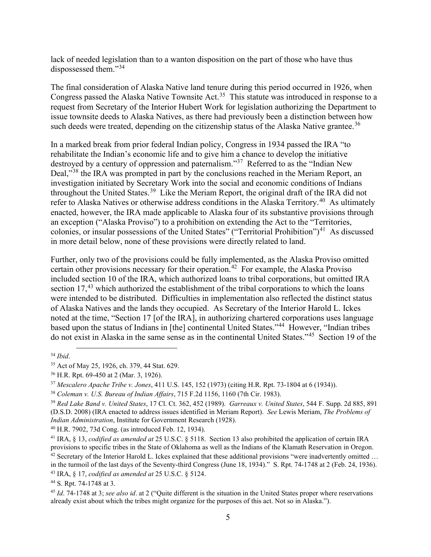lack of needed legislation than to a wanton disposition on the part of those who have thus dispossessed them."[34](#page-7-0)

The final consideration of Alaska Native land tenure during this period occurred in 1926, when Congress passed the Alaska Native Townsite Act.<sup>[35](#page-7-1)</sup> This statute was introduced in response to a request from Secretary of the Interior Hubert Work for legislation authorizing the Department to issue townsite deeds to Alaska Natives, as there had previously been a distinction between how such deeds were treated, depending on the citizenship status of the Alaska Native grantee.<sup>[36](#page-7-2)</sup>

In a marked break from prior federal Indian policy, Congress in 1934 passed the IRA "to rehabilitate the Indian's economic life and to give him a chance to develop the initiative destroyed by a century of oppression and paternalism."<sup>[37](#page-7-3)</sup> Referred to as the "Indian New Deal,"<sup>[38](#page-7-4)</sup> the IRA was prompted in part by the conclusions reached in the Meriam Report, an investigation initiated by Secretary Work into the social and economic conditions of Indians throughout the United States.[39](#page-7-5) Like the Meriam Report, the original draft of the IRA did not refer to Alaska Natives or otherwise address conditions in the Alaska Territory.<sup>[40](#page-7-6)</sup> As ultimately enacted, however, the IRA made applicable to Alaska four of its substantive provisions through an exception ("Alaska Proviso") to a prohibition on extending the Act to the "Territories, colonies, or insular possessions of the United States" ("Territorial Prohibition")<sup>[41](#page-7-7)</sup> As discussed in more detail below, none of these provisions were directly related to land.

Further, only two of the provisions could be fully implemented, as the Alaska Proviso omitted certain other provisions necessary for their operation.<sup>[42](#page-7-8)</sup> For example, the Alaska Proviso included section 10 of the IRA, which authorized loans to tribal corporations, but omitted IRA section  $17<sup>43</sup>$  $17<sup>43</sup>$  $17<sup>43</sup>$  which authorized the establishment of the tribal corporations to which the loans were intended to be distributed. Difficulties in implementation also reflected the distinct status of Alaska Natives and the lands they occupied. As Secretary of the Interior Harold L. Ickes noted at the time, "Section 17 [of the IRA], in authorizing chartered corporations uses language based upon the status of Indians in [the] continental United States."<sup>[44](#page-7-10)</sup> However, "Indian tribes do not exist in Alaska in the same sense as in the continental United States."[45](#page-7-11) Section 19 of the

<span id="page-7-6"></span><sup>40</sup> H.R. 7902, 73d Cong. (as introduced Feb. 12, 1934).

<span id="page-7-0"></span><sup>34</sup> *Ibid*.

<span id="page-7-1"></span><sup>35</sup> Act of May 25, 1926, ch. 379, 44 Stat. 629.

<span id="page-7-2"></span><sup>36</sup> H.R. Rpt. 69-450 at 2 (Mar. 3, 1926).

<span id="page-7-3"></span><sup>37</sup> *Mescalero Apache Tribe v. Jones*, 411 U.S. 145, 152 (1973) (citing H.R. Rpt. 73-1804 at 6 (1934)).

<span id="page-7-5"></span><span id="page-7-4"></span><sup>38</sup> *Coleman v. U.S. Bureau of Indian Affairs*, 715 F.2d 1156, 1160 (7th Cir. 1983). 39 *Red Lake Band v. United States*, 17 Cl. Ct. 362, 452 (1989). *Garreaux v. United States*, 544 F. Supp. 2d 885, 891 (D.S.D. 2008) (IRA enacted to address issues identified in Meriam Report). *See* Lewis Meriam, *The Problems of Indian Administration*, Institute for Government Research (1928).

<span id="page-7-7"></span><sup>41</sup> IRA, § 13, *codified as amended at* 25 U.S.C. § 5118. Section 13 also prohibited the application of certain IRA provisions to specific tribes in the State of Oklahoma as well as the Indians of the Klamath Reservation in Oregon.

<span id="page-7-8"></span> $42$  Secretary of the Interior Harold L. Ickes explained that these additional provisions "were inadvertently omitted ... in the turmoil of the last days of the Seventy-third Congress (June 18, 1934)." S. Rpt. 74-1748 at 2 (Feb. 24, 1936).

<span id="page-7-9"></span><sup>43</sup> IRA, § 17, *codified as amended at* 25 U.S.C. § 5124.

<span id="page-7-10"></span><sup>44</sup> S. Rpt. 74-1748 at 3.

<span id="page-7-11"></span><sup>45</sup> *Id*. 74-1748 at 3; *see also id*. at 2 ("Quite different is the situation in the United States proper where reservations already exist about which the tribes might organize for the purposes of this act. Not so in Alaska.").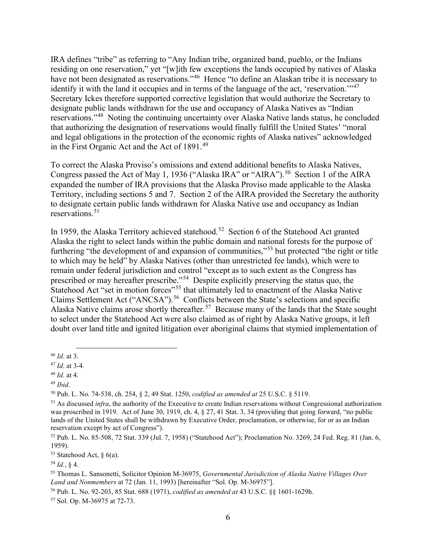IRA defines "tribe" as referring to "Any Indian tribe, organized band, pueblo, or the Indians residing on one reservation," yet "[w]ith few exceptions the lands occupied by natives of Alaska have not been designated as reservations."<sup>[46](#page-8-0)</sup> Hence "to define an Alaskan tribe it is necessary to identify it with the land it occupies and in terms of the language of the act, 'reservation.'"<sup>[47](#page-8-1)</sup> Secretary Ickes therefore supported corrective legislation that would authorize the Secretary to designate public lands withdrawn for the use and occupancy of Alaska Natives as "Indian reservations."[48](#page-8-2) Noting the continuing uncertainty over Alaska Native lands status, he concluded that authorizing the designation of reservations would finally fulfill the United States' "moral and legal obligations in the protection of the economic rights of Alaska natives" acknowledged in the First Organic Act and the Act of 1891.<sup>[49](#page-8-3)</sup>

To correct the Alaska Proviso's omissions and extend additional benefits to Alaska Natives, Congress passed the Act of May 1, 1936 ("Alaska IRA" or "AIRA").<sup>[50](#page-8-4)</sup> Section 1 of the AIRA expanded the number of IRA provisions that the Alaska Proviso made applicable to the Alaska Territory, including sections 5 and 7. Section 2 of the AIRA provided the Secretary the authority to designate certain public lands withdrawn for Alaska Native use and occupancy as Indian reservations.<sup>[51](#page-8-5)</sup>

In 1959, the Alaska Territory achieved statehood.<sup>[52](#page-8-6)</sup> Section 6 of the Statehood Act granted Alaska the right to select lands within the public domain and national forests for the purpose of furthering "the development of and expansion of communities,"<sup>[53](#page-8-7)</sup> but protected "the right or title" to which may be held" by Alaska Natives (other than unrestricted fee lands), which were to remain under federal jurisdiction and control "except as to such extent as the Congress has prescribed or may hereafter prescribe."[54](#page-8-8) Despite explicitly preserving the status quo, the Statehood Act "set in motion forces"<sup>[55](#page-8-9)</sup> that ultimately led to enactment of the Alaska Native Claims Settlement Act ("ANCSA").<sup>56</sup> Conflicts between the State's selections and specific Alaska Native claims arose shortly thereafter.<sup>[57](#page-8-11)</sup> Because many of the lands that the State sought to select under the Statehood Act were also claimed as of right by Alaska Native groups, it left doubt over land title and ignited litigation over aboriginal claims that stymied implementation of

<span id="page-8-0"></span><sup>46</sup> *Id*. at 3.

<span id="page-8-1"></span><sup>47</sup> *Id*. at 3-4.

<span id="page-8-2"></span><sup>48</sup> *Id*. at 4.

<span id="page-8-3"></span><sup>49</sup> *Ibid*.

<span id="page-8-4"></span><sup>50</sup> Pub. L. No. 74-538, ch. 254, § 2, 49 Stat. 1250, *codified as amended at* 25 U.S.C. § 5119.

<span id="page-8-5"></span><sup>&</sup>lt;sup>51</sup> As discussed *infra*, the authority of the Executive to create Indian reservations without Congressional authorization was proscribed in 1919. Act of June 30, 1919, ch. 4, § 27, 41 Stat. 3, 34 (providing that going forward, "no public lands of the United States shall be withdrawn by Executive Order, proclamation, or otherwise, for or as an Indian reservation except by act of Congress").

<span id="page-8-6"></span><sup>52</sup> Pub. L. No. 85-508, 72 Stat. 339 (Jul. 7, 1958) ("Statehood Act"); Proclamation No. 3269, 24 Fed. Reg. 81 (Jan. 6, 1959).

<span id="page-8-7"></span> $53$  Statehood Act, § 6(a).

<span id="page-8-8"></span><sup>54</sup> *Id.*, § 4.

<span id="page-8-9"></span><sup>55</sup> Thomas L. Sansonetti, Solicitor Opinion M-36975, *Governmental Jurisdiction of Alaska Native Villages Over* 

<span id="page-8-10"></span>*Land and Nonmembers* at 72 (Jan. 11, 1993) [hereinafter "Sol. Op. M-36975"]. 56 Pub. L. No. 92-203, 85 Stat. 688 (1971), *codified as amended at* 43 U.S.C. §§ 1601-1629h.

<span id="page-8-11"></span><sup>57</sup> Sol. Op. M-36975 at 72-73.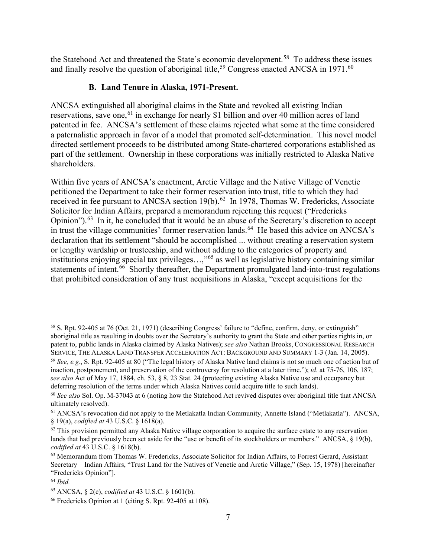the Statehood Act and threatened the State's economic development.<sup>[58](#page-9-0)</sup> To address these issues and finally resolve the question of aboriginal title,<sup>[59](#page-9-1)</sup> Congress enacted ANCSA in 1971.<sup>[60](#page-9-2)</sup>

## **B. Land Tenure in Alaska, 1971-Present.**

ANCSA extinguished all aboriginal claims in the State and revoked all existing Indian reservations, save one,<sup>[61](#page-9-3)</sup> in exchange for nearly \$1 billion and over 40 million acres of land patented in fee. ANCSA's settlement of these claims rejected what some at the time considered a paternalistic approach in favor of a model that promoted self-determination. This novel model directed settlement proceeds to be distributed among State-chartered corporations established as part of the settlement. Ownership in these corporations was initially restricted to Alaska Native shareholders.

Within five years of ANCSA's enactment, Arctic Village and the Native Village of Venetie petitioned the Department to take their former reservation into trust, title to which they had received in fee pursuant to ANCSA section  $19(b)$ .<sup>[62](#page-9-4)</sup> In 1978, Thomas W. Fredericks, Associate Solicitor for Indian Affairs, prepared a memorandum rejecting this request ("Fredericks Opinion").<sup>[63](#page-9-5)</sup> In it, he concluded that it would be an abuse of the Secretary's discretion to accept in trust the village communities' former reservation lands.<sup>[64](#page-9-6)</sup> He based this advice on ANCSA's declaration that its settlement "should be accomplished ... without creating a reservation system or lengthy wardship or trusteeship, and without adding to the categories of property and institutions enjoying special tax privileges...,"<sup>[65](#page-9-7)</sup> as well as legislative history containing similar statements of intent.<sup>[66](#page-9-8)</sup> Shortly thereafter, the Department promulgated land-into-trust regulations that prohibited consideration of any trust acquisitions in Alaska, "except acquisitions for the

<span id="page-9-0"></span><sup>58</sup> S. Rpt. 92-405 at 76 (Oct. 21, 1971) (describing Congress' failure to "define, confirm, deny, or extinguish" aboriginal title as resulting in doubts over the Secretary's authority to grant the State and other parties rights in, or patent to, public lands in Alaska claimed by Alaska Natives); *see also* Nathan Brooks, CONGRESSIONAL RESEARCH SERVICE, THE ALASKA LAND TRANSFER ACCELERATION ACT: BACKGROUND AND SUMMARY 1-3 (Jan. 14, 2005).

<span id="page-9-1"></span><sup>59</sup> *See, e.g.*, S. Rpt. 92-405 at 80 ("The legal history of Alaska Native land claims is not so much one of action but of inaction, postponement, and preservation of the controversy for resolution at a later time."); *id*. at 75-76, 106, 187; *see also* Act of May 17, 1884, ch. 53, § 8, 23 Stat. 24 (protecting existing Alaska Native use and occupancy but deferring resolution of the terms under which Alaska Natives could acquire title to such lands).

<span id="page-9-2"></span><sup>60</sup> *See also* Sol. Op. M-37043 at 6 (noting how the Statehood Act revived disputes over aboriginal title that ANCSA ultimately resolved).

<span id="page-9-3"></span><sup>61</sup> ANCSA's revocation did not apply to the Metlakatla Indian Community, Annette Island ("Metlakatla"). ANCSA, § 19(a), *codified at* 43 U.S.C. § 1618(a).<br><sup>62</sup> This provision permitted any Alaska Native village corporation to acquire the surface estate to any reservation

<span id="page-9-4"></span>lands that had previously been set aside for the "use or benefit of its stockholders or members." ANCSA, § 19(b), *codified at* 43 U.S.C. § 1618(b).

<span id="page-9-5"></span><sup>&</sup>lt;sup>63</sup> Memorandum from Thomas W. Fredericks, Associate Solicitor for Indian Affairs, to Forrest Gerard, Assistant Secretary – Indian Affairs, "Trust Land for the Natives of Venetie and Arctic Village," (Sep. 15, 1978) [hereinafter "Fredericks Opinion"].

<span id="page-9-6"></span><sup>64</sup> *Ibid.*

<span id="page-9-7"></span><sup>65</sup> ANCSA, § 2(c), *codified at* 43 U.S.C. § 1601(b).

<span id="page-9-8"></span><sup>66</sup> Fredericks Opinion at 1 (citing S. Rpt. 92-405 at 108).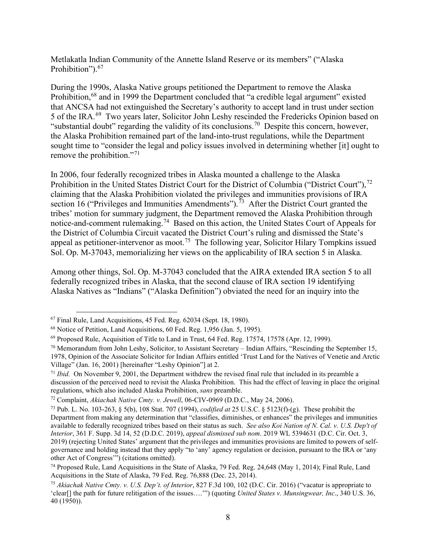Metlakatla Indian Community of the Annette Island Reserve or its members" ("Alaska Prohibition").<sup>[67](#page-10-0)</sup>

During the 1990s, Alaska Native groups petitioned the Department to remove the Alaska Prohibition,<sup>[68](#page-10-1)</sup> and in 1999 the Department concluded that "a credible legal argument" existed that ANCSA had not extinguished the Secretary's authority to accept land in trust under section 5 of the IRA.[69](#page-10-2) Two years later, Solicitor John Leshy rescinded the Fredericks Opinion based on "substantial doubt" regarding the validity of its conclusions.<sup>[70](#page-10-3)</sup> Despite this concern, however, the Alaska Prohibition remained part of the land-into-trust regulations, while the Department sought time to "consider the legal and policy issues involved in determining whether [it] ought to remove the prohibition."<sup>[71](#page-10-4)</sup>

In 2006, four federally recognized tribes in Alaska mounted a challenge to the Alaska Prohibition in the United States District Court for the District of Columbia ("District Court"),  $^{72}$  $^{72}$  $^{72}$ claiming that the Alaska Prohibition violated the privileges and immunities provisions of IRA section 16 ("Privileges and Immunities Amendments").<sup>[73](#page-10-6)</sup> After the District Court granted the tribes' motion for summary judgment, the Department removed the Alaska Prohibition through notice-and-comment rulemaking.[74](#page-10-7) Based on this action, the United States Court of Appeals for the District of Columbia Circuit vacated the District Court's ruling and dismissed the State's appeal as petitioner-intervenor as moot.<sup>[75](#page-10-8)</sup> The following year, Solicitor Hilary Tompkins issued Sol. Op. M-37043, memorializing her views on the applicability of IRA section 5 in Alaska.

Among other things, Sol. Op. M-37043 concluded that the AIRA extended IRA section 5 to all federally recognized tribes in Alaska, that the second clause of IRA section 19 identifying Alaska Natives as "Indians" ("Alaska Definition") obviated the need for an inquiry into the

<span id="page-10-0"></span> $67$  Final Rule, Land Acquisitions, 45 Fed. Reg.  $62034$  (Sept. 18, 1980).

<span id="page-10-1"></span><sup>68</sup> Notice of Petition, Land Acquisitions, 60 Fed. Reg. 1,956 (Jan. 5, 1995).

<span id="page-10-2"></span><sup>69</sup> Proposed Rule, Acquisition of Title to Land in Trust, 64 Fed. Reg. 17574, 17578 (Apr. 12, 1999).

<span id="page-10-3"></span> $70$  Memorandum from John Leshy, Solicitor, to Assistant Secretary – Indian Affairs, "Rescinding the September 15, 1978, Opinion of the Associate Solicitor for Indian Affairs entitled 'Trust Land for the Natives of Venetie and Arctic Village" (Jan. 16, 2001) [hereinafter "Leshy Opinion"] at 2.<br><sup>71</sup> *Ibid.* On November 9, 2001, the Department withdrew the revised final rule that included in its preamble a

<span id="page-10-4"></span>discussion of the perceived need to revisit the Alaska Prohibition. This had the effect of leaving in place the original regulations, which also included Alaska Prohibition, *sans* preamble.

<span id="page-10-6"></span><span id="page-10-5"></span><sup>72</sup> Complaint, *Akiachak Native Cmty. v. Jewell*, 06-CIV-0969 (D.D.C., May 24, 2006). 73 Pub. L. No. 103-263, § 5(b), 108 Stat. 707 (1994), *codified at* 25 U.S.C. § 5123(f)-(g). These prohibit the Department from making any determination that "classifies, diminishes, or enhances" the privileges and immunities available to federally recognized tribes based on their status as such. *See also Koi Nation of N. Cal. v. U.S. Dep't of Interior*, 361 F. Supp. 3d 14, 52 (D.D.C. 2019), *appeal dismissed sub nom*. 2019 WL 5394631 (D.C. Cir. Oct. 3, 2019) (rejecting United States' argument that the privileges and immunities provisions are limited to powers of selfgovernance and holding instead that they apply "to 'any' agency regulation or decision, pursuant to the IRA or 'any other Act of Congress'") (citations omitted).

<span id="page-10-7"></span><sup>74</sup> Proposed Rule, Land Acquisitions in the State of Alaska, 79 Fed. Reg. 24,648 (May 1, 2014); Final Rule, Land Acquisitions in the State of Alaska, 79 Fed. Reg. 76,888 (Dec. 23, 2014).

<span id="page-10-8"></span><sup>75</sup> *Akiachak Native Cmty. v. U.S. Dep't. of Interior*, 827 F.3d 100, 102 (D.C. Cir. 2016) ("vacatur is appropriate to 'clear[] the path for future relitigation of the issues….'") (quoting *United States v. Munsingwear, Inc*., 340 U.S. 36, 40 (1950)).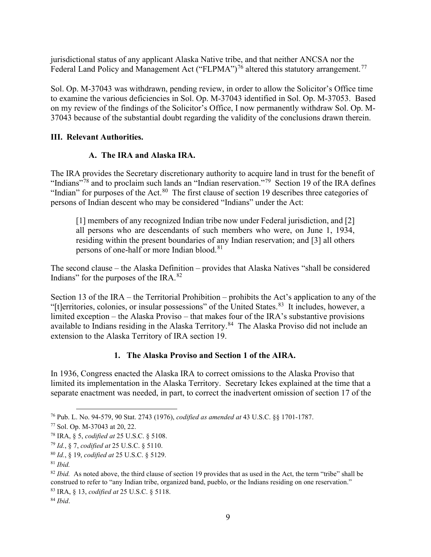jurisdictional status of any applicant Alaska Native tribe, and that neither ANCSA nor the Federal Land Policy and Management Act ("FLPMA")<sup>[76](#page-11-0)</sup> altered this statutory arrangement.<sup>[77](#page-11-1)</sup>

Sol. Op. M-37043 was withdrawn, pending review, in order to allow the Solicitor's Office time to examine the various deficiencies in Sol. Op. M-37043 identified in Sol. Op. M-37053. Based on my review of the findings of the Solicitor's Office, I now permanently withdraw Sol. Op. M-37043 because of the substantial doubt regarding the validity of the conclusions drawn therein.

## **III. Relevant Authorities.**

## **A. The IRA and Alaska IRA.**

The IRA provides the Secretary discretionary authority to acquire land in trust for the benefit of "Indians"<sup>[78](#page-11-2)</sup> and to proclaim such lands an "Indian reservation."<sup>[79](#page-11-3)</sup> Section 19 of the IRA defines "Indian" for purposes of the Act.<sup>[80](#page-11-4)</sup> The first clause of section 19 describes three categories of persons of Indian descent who may be considered "Indians" under the Act:

[1] members of any recognized Indian tribe now under Federal jurisdiction, and [2] all persons who are descendants of such members who were, on June 1, 1934, residing within the present boundaries of any Indian reservation; and [3] all others persons of one-half or more Indian blood.<sup>[81](#page-11-5)</sup>

The second clause – the Alaska Definition – provides that Alaska Natives "shall be considered Indians" for the purposes of the IRA. $^{82}$  $^{82}$  $^{82}$ 

Section 13 of the IRA – the Territorial Prohibition – prohibits the Act's application to any of the "[t]erritories, colonies, or insular possessions" of the United States.<sup>[83](#page-11-7)</sup> It includes, however, a limited exception – the Alaska Proviso – that makes four of the IRA's substantive provisions available to Indians residing in the Alaska Territory.<sup>[84](#page-11-8)</sup> The Alaska Proviso did not include an extension to the Alaska Territory of IRA section 19.

# **1. The Alaska Proviso and Section 1 of the AIRA.**

In 1936, Congress enacted the Alaska IRA to correct omissions to the Alaska Proviso that limited its implementation in the Alaska Territory. Secretary Ickes explained at the time that a separate enactment was needed, in part, to correct the inadvertent omission of section 17 of the

<span id="page-11-0"></span><sup>76</sup> Pub. L. No. 94-579, 90 Stat. 2743 (1976), *codified as amended at* 43 U.S.C. §§ 1701-1787.

<span id="page-11-1"></span><sup>77</sup> Sol. Op. M-37043 at 20, 22.

<span id="page-11-2"></span><sup>78</sup> IRA, § 5, *codified at* 25 U.S.C. § 5108.

<span id="page-11-3"></span><sup>79</sup> *Id.*, § 7, *codified at* 25 U.S.C. § 5110.

<span id="page-11-4"></span><sup>80</sup> *Id.*, § 19, *codified at* 25 U.S.C. § 5129.

<span id="page-11-5"></span><sup>81</sup> *Ibid.*

<span id="page-11-6"></span><sup>&</sup>lt;sup>82</sup> *Ibid.* As noted above, the third clause of section 19 provides that as used in the Act, the term "tribe" shall be construed to refer to "any Indian tribe, organized band, pueblo, or the Indians residing on one reservation." <sup>83</sup> IRA, § 13, *codified at* 25 U.S.C. § 5118.

<span id="page-11-8"></span><span id="page-11-7"></span><sup>84</sup> *Ibid*.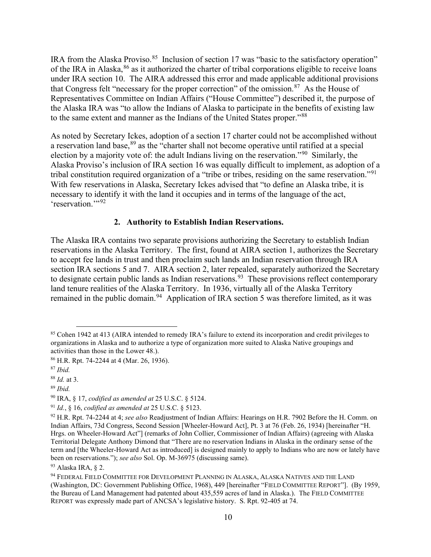IRA from the Alaska Proviso.<sup>[85](#page-12-0)</sup> Inclusion of section 17 was "basic to the satisfactory operation" of the IRA in Alaska, <sup>[86](#page-12-1)</sup> as it authorized the charter of tribal corporations eligible to receive loans under IRA section 10. The AIRA addressed this error and made applicable additional provisions that Congress felt "necessary for the proper correction" of the omission. $87$  As the House of Representatives Committee on Indian Affairs ("House Committee") described it, the purpose of the Alaska IRA was "to allow the Indians of Alaska to participate in the benefits of existing law to the same extent and manner as the Indians of the United States proper."[88](#page-12-3)

As noted by Secretary Ickes, adoption of a section 17 charter could not be accomplished without a reservation land base, <sup>[89](#page-12-4)</sup> as the "charter shall not become operative until ratified at a special election by a majority vote of: the adult Indians living on the reservation."[90](#page-12-5) Similarly, the Alaska Proviso's inclusion of IRA section 16 was equally difficult to implement, as adoption of a tribal constitution required organization of a "tribe or tribes, residing on the same reservation."[91](#page-12-6) With few reservations in Alaska, Secretary Ickes advised that "to define an Alaska tribe, it is necessary to identify it with the land it occupies and in terms of the language of the act, 'reservation."<sup>[92](#page-12-7)</sup>

### **2. Authority to Establish Indian Reservations.**

The Alaska IRA contains two separate provisions authorizing the Secretary to establish Indian reservations in the Alaska Territory. The first, found at AIRA section 1, authorizes the Secretary to accept fee lands in trust and then proclaim such lands an Indian reservation through IRA section IRA sections 5 and 7. AIRA section 2, later repealed, separately authorized the Secretary to designate certain public lands as Indian reservations.<sup>93</sup> These provisions reflect contemporary land tenure realities of the Alaska Territory. In 1936, virtually all of the Alaska Territory remained in the public domain.<sup>[94](#page-12-9)</sup> Application of IRA section 5 was therefore limited, as it was

<span id="page-12-0"></span><sup>&</sup>lt;sup>85</sup> Cohen 1942 at 413 (AIRA intended to remedy IRA's failure to extend its incorporation and credit privileges to organizations in Alaska and to authorize a type of organization more suited to Alaska Native groupings and activities than those in the Lower 48.).

<span id="page-12-1"></span><sup>86</sup> H.R. Rpt. 74-2244 at 4 (Mar. 26, 1936).

<span id="page-12-2"></span><sup>87</sup> *Ibid.* 

<span id="page-12-3"></span><sup>88</sup> *Id.* at 3.

<span id="page-12-4"></span><sup>89</sup> *Ibid.*

<span id="page-12-5"></span><sup>90</sup> IRA, § 17, *codified as amended at* 25 U.S.C. § 5124.

<span id="page-12-6"></span><sup>91</sup> *Id.*, § 16, *codified as amended at* 25 U.S.C. § 5123.

<span id="page-12-7"></span><sup>92</sup> H.R. Rpt. 74-2244 at 4; *see also* Readjustment of Indian Affairs: Hearings on H.R. 7902 Before the H. Comm. on Indian Affairs, 73d Congress, Second Session [Wheeler-Howard Act], Pt. 3 at 76 (Feb. 26, 1934) [hereinafter "H. Hrgs. on Wheeler-Howard Act"] (remarks of John Collier, Commissioner of Indian Affairs) (agreeing with Alaska Territorial Delegate Anthony Dimond that "There are no reservation Indians in Alaska in the ordinary sense of the term and [the Wheeler-Howard Act as introduced] is designed mainly to apply to Indians who are now or lately have been on reservations."); *see also* Sol. Op. M-36975 (discussing same).

<span id="page-12-8"></span><sup>93</sup> Alaska IRA, § 2.

<span id="page-12-9"></span><sup>94</sup> FEDERAL FIELD COMMITTEE FOR DEVELOPMENT PLANNING IN ALASKA, ALASKA NATIVES AND THE LAND (Washington, DC: Government Publishing Office, 1968), 449 [hereinafter "FIELD COMMITTEE REPORT"]. (By 1959, the Bureau of Land Management had patented about 435,559 acres of land in Alaska.). The FIELD COMMITTEE REPORT was expressly made part of ANCSA's legislative history. S. Rpt. 92-405 at 74.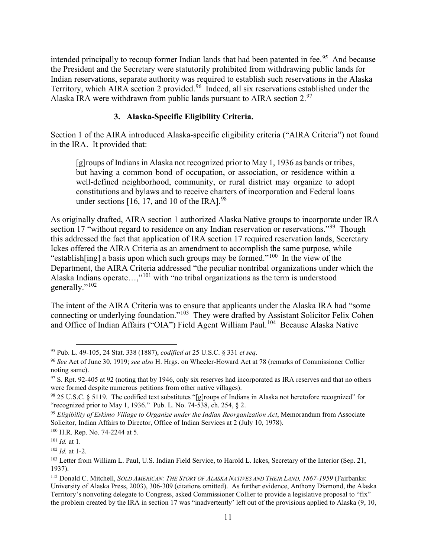intended principally to recoup former Indian lands that had been patented in fee.<sup>[95](#page-13-0)</sup> And because the President and the Secretary were statutorily prohibited from withdrawing public lands for Indian reservations, separate authority was required to establish such reservations in the Alaska Territory, which AIRA section 2 provided.<sup>[96](#page-13-1)</sup> Indeed, all six reservations established under the Alaska IRA were withdrawn from public lands pursuant to AIRA section  $2.^{97}$  $2.^{97}$  $2.^{97}$ .

## **3. Alaska-Specific Eligibility Criteria.**

Section 1 of the AIRA introduced Alaska-specific eligibility criteria ("AIRA Criteria") not found in the IRA. It provided that:

[g]roups of Indians in Alaska not recognized prior to May 1, 1936 as bands or tribes, but having a common bond of occupation, or association, or residence within a well-defined neighborhood, community, or rural district may organize to adopt constitutions and bylaws and to receive charters of incorporation and Federal loans under sections  $[16, 17,$  and 10 of the IRA].<sup>[98](#page-13-3)</sup>

As originally drafted, AIRA section 1 authorized Alaska Native groups to incorporate under IRA section 17 "without regard to residence on any Indian reservation or reservations."<sup>[99](#page-13-4)</sup> Though this addressed the fact that application of IRA section 17 required reservation lands, Secretary Ickes offered the AIRA Criteria as an amendment to accomplish the same purpose, while "establish[ing] a basis upon which such groups may be formed."[100](#page-13-5) In the view of the Department, the AIRA Criteria addressed "the peculiar nontribal organizations under which the Alaska Indians operate…,"[101](#page-13-6) with "no tribal organizations as the term is understood generally."<sup>[102](#page-13-7)</sup>

The intent of the AIRA Criteria was to ensure that applicants under the Alaska IRA had "some connecting or underlying foundation."<sup>[103](#page-13-8)</sup> They were drafted by Assistant Solicitor Felix Cohen and Office of Indian Affairs ("OIA") Field Agent William Paul.<sup>[104](#page-13-9)</sup> Because Alaska Native

<span id="page-13-0"></span><sup>95</sup> Pub. L. 49-105, 24 Stat. 338 (1887), *codified at* 25 U.S.C. § 331 *et seq*.

<span id="page-13-1"></span><sup>96</sup> *See* Act of June 30, 1919; *see also* H. Hrgs. on Wheeler-Howard Act at 78 (remarks of Commissioner Collier noting same).

<span id="page-13-2"></span> $97$  S. Rpt. 92-405 at 92 (noting that by 1946, only six reserves had incorporated as IRA reserves and that no others were formed despite numerous petitions from other native villages).

<span id="page-13-3"></span><sup>98</sup> 25 U.S.C. § 5119. The codified text substitutes "[g]roups of Indians in Alaska not heretofore recognized" for "recognized prior to May 1, 1936." Pub. L. No. 74-538, ch. 254, § 2.

<span id="page-13-4"></span><sup>99</sup> *Eligibility of Eskimo Village to Organize under the Indian Reorganization Act*, Memorandum from Associate Solicitor, Indian Affairs to Director, Office of Indian Services at 2 (July 10, 1978).

<span id="page-13-5"></span><sup>100</sup> H.R. Rep. No. 74-2244 at 5.

<span id="page-13-6"></span><sup>101</sup> *Id.* at 1.

<span id="page-13-7"></span><sup>102</sup> *Id.* at 1-2.

<span id="page-13-8"></span><sup>&</sup>lt;sup>103</sup> Letter from William L. Paul, U.S. Indian Field Service, to Harold L. Ickes, Secretary of the Interior (Sep. 21, 1937).

<span id="page-13-9"></span><sup>112</sup> Donald C. Mitchell, *SOLD AMERICAN: THE STORY OF ALASKA NATIVES AND THEIR LAND, 1867-1959* (Fairbanks: University of Alaska Press, 2003), 306-309 (citations omitted). As further evidence, Anthony Diamond, the Alaska Territory's nonvoting delegate to Congress, asked Commissioner Collier to provide a legislative proposal to "fix" the problem created by the IRA in section 17 was "inadvertently' left out of the provisions applied to Alaska (9, 10,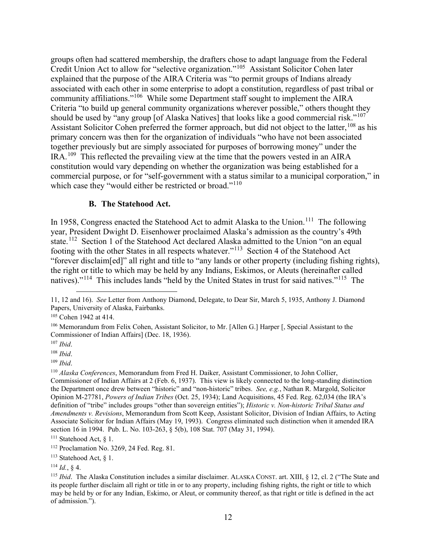groups often had scattered membership, the drafters chose to adapt language from the Federal Credit Union Act to allow for "selective organization."[105](#page-14-0) Assistant Solicitor Cohen later explained that the purpose of the AIRA Criteria was "to permit groups of Indians already associated with each other in some enterprise to adopt a constitution, regardless of past tribal or community affiliations."[106](#page-14-1) While some Department staff sought to implement the AIRA Criteria "to build up general community organizations wherever possible," others thought they should be used by "any group [of Alaska Natives] that looks like a good commercial risk."<sup>[107](#page-14-2)</sup> Assistant Solicitor Cohen preferred the former approach, but did not object to the latter, <sup>[108](#page-14-3)</sup> as his primary concern was then for the organization of individuals "who have not been associated together previously but are simply associated for purposes of borrowing money" under the IRA.[109](#page-14-4) This reflected the prevailing view at the time that the powers vested in an AIRA constitution would vary depending on whether the organization was being established for a commercial purpose, or for "self-government with a status similar to a municipal corporation," in which case they "would either be restricted or broad."<sup>[110](#page-14-5)</sup>

#### **B. The Statehood Act.**

In 1958, Congress enacted the Statehood Act to admit Alaska to the Union.<sup>[111](#page-14-6)</sup> The following year, President Dwight D. Eisenhower proclaimed Alaska's admission as the country's 49th state.<sup>[112](#page-14-7)</sup> Section 1 of the Statehood Act declared Alaska admitted to the Union "on an equal footing with the other States in all respects whatever."[113](#page-14-8) Section 4 of the Statehood Act "forever disclaim[ed]" all right and title to "any lands or other property (including fishing rights), the right or title to which may be held by any Indians, Eskimos, or Aleuts (hereinafter called natives)."<sup>[114](#page-14-9)</sup> This includes lands "held by the United States in trust for said natives."<sup>[115](#page-14-10)</sup> The

<sup>11, 12</sup> and 16). *See* Letter from Anthony Diamond, Delegate, to Dear Sir, March 5, 1935, Anthony J. Diamond Papers, University of Alaska, Fairbanks.

<span id="page-14-0"></span><sup>105</sup> Cohen 1942 at 414.

<span id="page-14-1"></span><sup>106</sup> Memorandum from Felix Cohen, Assistant Solicitor, to Mr. [Allen G.] Harper [, Special Assistant to the Commissioner of Indian Affairs] (Dec. 18, 1936).

<span id="page-14-2"></span><sup>107</sup> *Ibid*.

<span id="page-14-3"></span><sup>108</sup> *Ibid*.

<span id="page-14-4"></span><sup>109</sup> *Ibid*.

<span id="page-14-5"></span><sup>110</sup> *Alaska Conferences*, Memorandum from Fred H. Daiker, Assistant Commissioner, to John Collier, Commissioner of Indian Affairs at 2 (Feb. 6, 1937). This view is likely connected to the long-standing distinction the Department once drew between "historic" and "non-historic" tribes. *See, e.g.*, Nathan R. Margold, Solicitor Opinion M-27781, *Powers of Indian Tribes* (Oct. 25, 1934); Land Acquisitions, 45 Fed. Reg. 62,034 (the IRA's definition of "tribe" includes groups "other than sovereign entities"); *Historic v. Non-historic Tribal Status and Amendments v. Revisions*, Memorandum from Scott Keep, Assistant Solicitor, Division of Indian Affairs, to Acting Associate Solicitor for Indian Affairs (May 19, 1993). Congress eliminated such distinction when it amended IRA section 16 in 1994. Pub. L. No. 103-263, § 5(b), 108 Stat. 707 (May 31, 1994).

<span id="page-14-6"></span><sup>111</sup> Statehood Act, § 1.

<span id="page-14-7"></span><sup>112</sup> Proclamation No. 3269, 24 Fed. Reg. 81.

<span id="page-14-8"></span><sup>113</sup> Statehood Act, § 1.

<span id="page-14-9"></span> $^{114}$  *Id.*, § 4.

<span id="page-14-10"></span><sup>115</sup> *Ibid*. The Alaska Constitution includes a similar disclaimer. ALASKA CONST. art. XIII, § 12, cl. 2 ("The State and its people further disclaim all right or title in or to any property, including fishing rights, the right or title to which may be held by or for any Indian, Eskimo, or Aleut, or community thereof, as that right or title is defined in the act of admission.").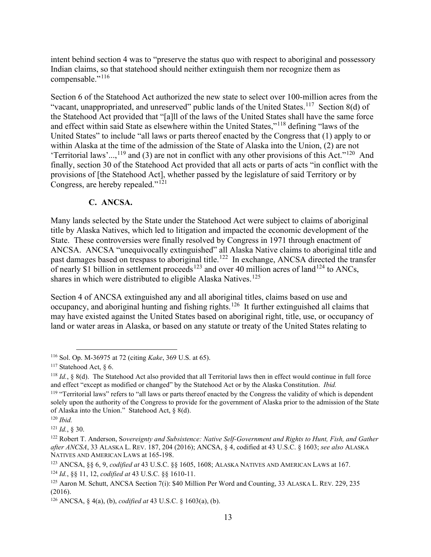intent behind section 4 was to "preserve the status quo with respect to aboriginal and possessory Indian claims, so that statehood should neither extinguish them nor recognize them as compensable."<sup>[116](#page-15-0)</sup>

Section 6 of the Statehood Act authorized the new state to select over 100-million acres from the "vacant, unappropriated, and unreserved" public lands of the United States.<sup>117</sup> Section 8(d) of the Statehood Act provided that "[a]ll of the laws of the United States shall have the same force and effect within said State as elsewhere within the United States,"[118](#page-15-2) defining "laws of the United States" to include "all laws or parts thereof enacted by the Congress that (1) apply to or within Alaska at the time of the admission of the State of Alaska into the Union, (2) are not 'Territorial laws'...,<sup>[119](#page-15-3)</sup> and (3) are not in conflict with any other provisions of this Act."<sup>[120](#page-15-4)</sup> And finally, section 30 of the Statehood Act provided that all acts or parts of acts "in conflict with the provisions of [the Statehood Act], whether passed by the legislature of said Territory or by Congress, are hereby repealed."<sup>[121](#page-15-5)</sup>

## **C. ANCSA.**

Many lands selected by the State under the Statehood Act were subject to claims of aboriginal title by Alaska Natives, which led to litigation and impacted the economic development of the State. These controversies were finally resolved by Congress in 1971 through enactment of ANCSA. ANCSA "unequivocally extinguished" all Alaska Native claims to aboriginal title and past damages based on trespass to aboriginal title.<sup>[122](#page-15-6)</sup> In exchange, ANCSA directed the transfer of nearly \$1 billion in settlement proceeds<sup>[123](#page-15-7)</sup> and over 40 million acres of land<sup>[124](#page-15-8)</sup> to ANCs, shares in which were distributed to eligible Alaska Natives.<sup>[125](#page-15-9)</sup>

Section 4 of ANCSA extinguished any and all aboriginal titles, claims based on use and occupancy, and aboriginal hunting and fishing rights.[126](#page-15-10) It further extinguished all claims that may have existed against the United States based on aboriginal right, title, use, or occupancy of land or water areas in Alaska, or based on any statute or treaty of the United States relating to

<span id="page-15-0"></span><sup>116</sup> Sol. Op. M-36975 at 72 (citing *Kake*, 369 U.S. at 65).

<span id="page-15-1"></span> $117$  Statehood Act,  $\delta$  6.

<span id="page-15-2"></span><sup>118</sup> *Id.*, § 8(d). The Statehood Act also provided that all Territorial laws then in effect would continue in full force and effect "except as modified or changed" by the Statehood Act or by the Alaska Constitution. *Ibid.*

<span id="page-15-3"></span><sup>&</sup>lt;sup>119</sup> "Territorial laws" refers to "all laws or parts thereof enacted by the Congress the validity of which is dependent solely upon the authority of the Congress to provide for the government of Alaska prior to the admission of the State of Alaska into the Union." Statehood Act, § 8(d).

<span id="page-15-4"></span><sup>120</sup> *Ibid.*

<span id="page-15-6"></span><span id="page-15-5"></span><sup>&</sup>lt;sup>121</sup> *Id.*, § 30.<br><sup>122</sup> Robert T. Anderson, Sovereignty and Subsistence: Native Self-Government and Rights to Hunt, Fish, and Gather *after ANCSA*, 33 ALASKA L. REV. 187, 204 (2016); ANCSA, § 4, codified at 43 U.S.C. § 1603; *see also* ALASKA NATIVES AND AMERICAN LAWS at 165-198.

<span id="page-15-7"></span><sup>123</sup> ANCSA, §§ 6, 9, *codified at* 43 U.S.C. §§ 1605, 1608; ALASKA NATIVES AND AMERICAN LAWS at 167. <sup>124</sup> *Id.*, §§ 11, 12, *codified at* 43 U.S.C. §§ 1610-11.

<span id="page-15-9"></span><span id="page-15-8"></span><sup>125</sup> Aaron M. Schutt, ANCSA Section 7(i): \$40 Million Per Word and Counting, 33 ALASKA L. REV. 229, 235 (2016).

<span id="page-15-10"></span><sup>126</sup> ANCSA, § 4(a), (b), *codified at* 43 U.S.C. § 1603(a), (b).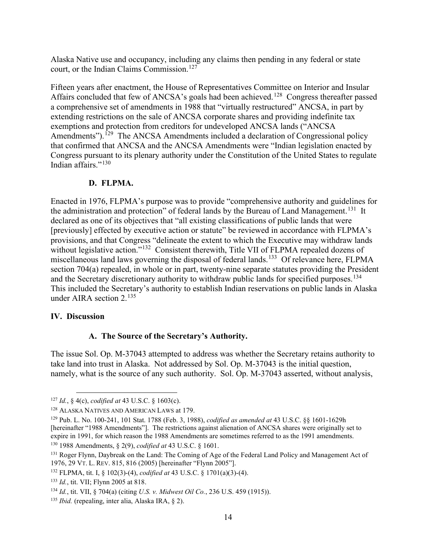Alaska Native use and occupancy, including any claims then pending in any federal or state court, or the Indian Claims Commission.<sup>[127](#page-16-0)</sup>

Fifteen years after enactment, the House of Representatives Committee on Interior and Insular Affairs concluded that few of ANCSA's goals had been achieved.<sup>[128](#page-16-1)</sup> Congress thereafter passed a comprehensive set of amendments in 1988 that "virtually restructured" ANCSA, in part by extending restrictions on the sale of ANCSA corporate shares and providing indefinite tax exemptions and protection from creditors for undeveloped ANCSA lands ("ANCSA Amendments").<sup>[129](#page-16-2)</sup> The ANCSA Amendments included a declaration of Congressional policy that confirmed that ANCSA and the ANCSA Amendments were "Indian legislation enacted by Congress pursuant to its plenary authority under the Constitution of the United States to regulate Indian affairs."[130](#page-16-3)

## **D. FLPMA.**

Enacted in 1976, FLPMA's purpose was to provide "comprehensive authority and guidelines for the administration and protection" of federal lands by the Bureau of Land Management.<sup>[131](#page-16-4)</sup> It declared as one of its objectives that "all existing classifications of public lands that were [previously] effected by executive action or statute" be reviewed in accordance with FLPMA's provisions, and that Congress "delineate the extent to which the Executive may withdraw lands without legislative action."<sup>[132](#page-16-5)</sup> Consistent therewith, Title VII of FLPMA repealed dozens of miscellaneous land laws governing the disposal of federal lands.<sup>[133](#page-16-6)</sup> Of relevance here, FLPMA section 704(a) repealed, in whole or in part, twenty-nine separate statutes providing the President and the Secretary discretionary authority to withdraw public lands for specified purposes.<sup>[134](#page-16-7)</sup> This included the Secretary's authority to establish Indian reservations on public lands in Alaska under AIRA section 2.[135](#page-16-8)

#### **IV. Discussion**

### **A. The Source of the Secretary's Authority.**

The issue Sol. Op. M-37043 attempted to address was whether the Secretary retains authority to take land into trust in Alaska. Not addressed by Sol. Op. M-37043 is the initial question, namely, what is the source of any such authority. Sol. Op. M-37043 asserted, without analysis,

<span id="page-16-0"></span><sup>127</sup> *Id.*, § 4(c), *codified at* 43 U.S.C. § 1603(c).

<span id="page-16-1"></span><sup>128</sup> ALASKA NATIVES AND AMERICAN LAWS at 179.

<span id="page-16-2"></span><sup>129</sup> Pub. L. No. 100-241, 101 Stat. 1788 (Feb. 3, 1988), *codified as amended at* 43 U.S.C. §§ 1601-1629h [hereinafter "1988 Amendments"]. The restrictions against alienation of ANCSA shares were originally set to expire in 1991, for which reason the 1988 Amendments are sometimes referred to as the 1991 amendments.

<span id="page-16-3"></span><sup>130</sup> 1988 Amendments, § 2(9), *codified at* 43 U.S.C. § 1601.

<span id="page-16-4"></span><sup>&</sup>lt;sup>131</sup> Roger Flynn, Daybreak on the Land: The Coming of Age of the Federal Land Policy and Management Act of 1976, 29 VT. L. REV. 815, 816 (2005) [hereinafter "Flynn 2005"].

<span id="page-16-5"></span><sup>132</sup> FLPMA, tit. I, § 102(3)-(4), *codified at* 43 U.S.C. § 1701(a)(3)-(4).

<span id="page-16-6"></span><sup>133</sup> *Id.*, tit. VII; Flynn 2005 at 818.

<span id="page-16-7"></span><sup>134</sup> *Id.*, tit. VII, § 704(a) (citing *U.S. v. Midwest Oil Co.*, 236 U.S. 459 (1915)).

<span id="page-16-8"></span><sup>135</sup> *Ibid.* (repealing, inter alia, Alaska IRA, § 2).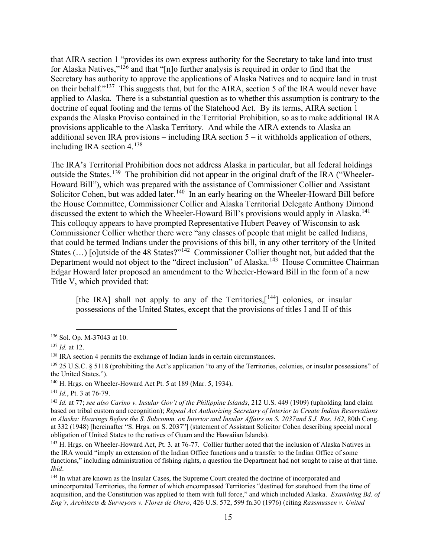that AIRA section 1 "provides its own express authority for the Secretary to take land into trust for Alaska Natives,"[136](#page-17-0) and that "[n]o further analysis is required in order to find that the Secretary has authority to approve the applications of Alaska Natives and to acquire land in trust on their behalf."<sup>[137](#page-17-1)</sup> This suggests that, but for the AIRA, section 5 of the IRA would never have applied to Alaska. There is a substantial question as to whether this assumption is contrary to the doctrine of equal footing and the terms of the Statehood Act. By its terms, AIRA section 1 expands the Alaska Proviso contained in the Territorial Prohibition, so as to make additional IRA provisions applicable to the Alaska Territory. And while the AIRA extends to Alaska an additional seven IRA provisions – including IRA section 5 – it withholds application of others, including IRA section 4.[138](#page-17-2) 

The IRA's Territorial Prohibition does not address Alaska in particular, but all federal holdings outside the States.<sup>[139](#page-17-3)</sup> The prohibition did not appear in the original draft of the IRA ("Wheeler-Howard Bill"), which was prepared with the assistance of Commissioner Collier and Assistant Solicitor Cohen, but was added later.<sup>[140](#page-17-4)</sup> In an early hearing on the Wheeler-Howard Bill before the House Committee, Commissioner Collier and Alaska Territorial Delegate Anthony Dimond discussed the extent to which the Wheeler-Howard Bill's provisions would apply in Alaska.<sup>[141](#page-17-5)</sup> This colloquy appears to have prompted Representative Hubert Peavey of Wisconsin to ask Commissioner Collier whether there were "any classes of people that might be called Indians, that could be termed Indians under the provisions of this bill, in any other territory of the United States  $(...)$  [o]utside of the 48 States?"<sup>[142](#page-17-6)</sup> Commissioner Collier thought not, but added that the Department would not object to the "direct inclusion" of Alaska.<sup>[143](#page-17-7)</sup> House Committee Chairman Edgar Howard later proposed an amendment to the Wheeler-Howard Bill in the form of a new Title V, which provided that:

[the IRA] shall not apply to any of the Territories,  $[144]$  $[144]$  $[144]$  colonies, or insular possessions of the United States, except that the provisions of titles I and II of this

<span id="page-17-0"></span><sup>136</sup> Sol. Op. M-37043 at 10.

<span id="page-17-1"></span><sup>137</sup> *Id.* at 12.

<span id="page-17-2"></span><sup>138</sup> IRA section 4 permits the exchange of Indian lands in certain circumstances.

<span id="page-17-3"></span> $139$  25 U.S.C. § 5118 (prohibiting the Act's application "to any of the Territories, colonies, or insular possessions" of the United States.").

<span id="page-17-4"></span><sup>140</sup> H. Hrgs. on Wheeler-Howard Act Pt. 5 at 189 (Mar. 5, 1934).

<span id="page-17-5"></span><sup>141</sup> *Id.*, Pt. 3 at 76-79.

<span id="page-17-6"></span><sup>142</sup> *Id.* at 77; *see also Carino v. Insular Gov't of the Philippine Islands*, 212 U.S. 449 (1909) (upholding land claim based on tribal custom and recognition); *Repeal Act Authorizing Secretary of Interior to Create Indian Reservations in Alaska: Hearings Before the S. Subcomm. on Interior and Insular Affairs on S. 2037and S.J. Res. 162*, 80th Cong. at 332 (1948) [hereinafter "S. Hrgs. on S. 2037"] (statement of Assistant Solicitor Cohen describing special moral obligation of United States to the natives of Guam and the Hawaiian Islands).

<span id="page-17-7"></span><sup>143</sup> H. Hrgs. on Wheeler-Howard Act, Pt. 3*.* at 76-77. Collier further noted that the inclusion of Alaska Natives in the IRA would "imply an extension of the Indian Office functions and a transfer to the Indian Office of some functions," including administration of fishing rights, a question the Department had not sought to raise at that time. *Ibid*.

<span id="page-17-8"></span><sup>&</sup>lt;sup>144</sup> In what are known as the Insular Cases, the Supreme Court created the doctrine of incorporated and unincorporated Territories, the former of which encompassed Territories "destined for statehood from the time of acquisition, and the Constitution was applied to them with full force," and which included Alaska. *Examining Bd. of Eng'r, Architects & Surveyors v. Flores de Otero*, 426 U.S. 572, 599 fn.30 (1976) (citing *Rassmussen v. United*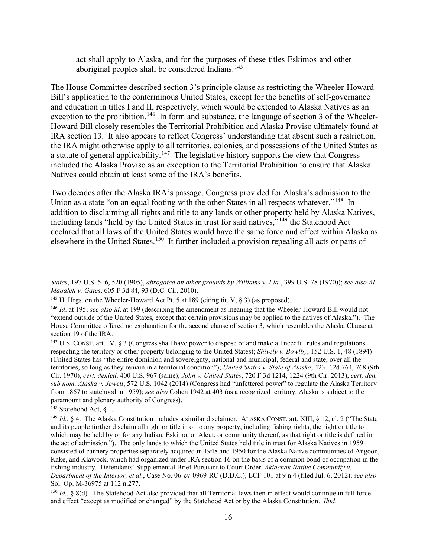act shall apply to Alaska, and for the purposes of these titles Eskimos and other aboriginal peoples shall be considered Indians.<sup>[145](#page-18-0)</sup>

The House Committee described section 3's principle clause as restricting the Wheeler-Howard Bill's application to the conterminous United States, except for the benefits of self-governance and education in titles I and II, respectively, which would be extended to Alaska Natives as an exception to the prohibition.<sup>[146](#page-18-1)</sup> In form and substance, the language of section 3 of the Wheeler-Howard Bill closely resembles the Territorial Prohibition and Alaska Proviso ultimately found at IRA section 13. It also appears to reflect Congress' understanding that absent such a restriction, the IRA might otherwise apply to all territories, colonies, and possessions of the United States as a statute of general applicability.<sup>147</sup> The legislative history supports the view that Congress included the Alaska Proviso as an exception to the Territorial Prohibition to ensure that Alaska Natives could obtain at least some of the IRA's benefits.

Two decades after the Alaska IRA's passage, Congress provided for Alaska's admission to the Union as a state "on an equal footing with the other States in all respects whatever."<sup>[148](#page-18-3)</sup> In addition to disclaiming all rights and title to any lands or other property held by Alaska Natives, including lands "held by the United States in trust for said natives,"[149](#page-18-4) the Statehood Act declared that all laws of the United States would have the same force and effect within Alaska as elsewhere in the United States.[150](#page-18-5) It further included a provision repealing all acts or parts of

*States*, 197 U.S. 516, 520 (1905), *abrogated on other grounds by Williams v. Fla.*, 399 U.S. 78 (1970)); *see also Al Maqaleh v. Gates*, 605 F.3d 84, 93 (D.C. Cir. 2010).

<span id="page-18-0"></span><sup>&</sup>lt;sup>145</sup> H. Hrgs. on the Wheeler-Howard Act Pt. 5 at 189 (citing tit. V,  $\S$  3) (as proposed).

<span id="page-18-1"></span><sup>146</sup> *Id*. at 195; *see also id*. at 199 (describing the amendment as meaning that the Wheeler-Howard Bill would not "extend outside of the United States, except that certain provisions may be applied to the natives of Alaska."). The House Committee offered no explanation for the second clause of section 3, which resembles the Alaska Clause at section 19 of the IRA.

<span id="page-18-2"></span><sup>&</sup>lt;sup>147</sup> U.S. CONST. art. IV, § 3 (Congress shall have power to dispose of and make all needful rules and regulations respecting the territory or other property belonging to the United States); *Shively v. Bowlby*, 152 U.S. 1, 48 (1894) (United States has "the entire dominion and sovereignty, national and municipal, federal and state, over all the territories, so long as they remain in a territorial condition"); *United States v. State of Alaska*, 423 F.2d 764, 768 (9th Cir. 1970), *cert. denied*, 400 U.S. 967 (same); *John v. United States*, 720 F.3d 1214, 1224 (9th Cir. 2013), *cert. den. sub nom*. *Alaska v. Jewell*, 572 U.S. 1042 (2014) (Congress had "unfettered power" to regulate the Alaska Territory from 1867 to statehood in 1959); *see also* Cohen 1942 at 403 (as a recognized territory, Alaska is subject to the paramount and plenary authority of Congress).

<span id="page-18-3"></span><sup>&</sup>lt;sup>148</sup> Statehood Act,  $\delta$  1.

<span id="page-18-4"></span><sup>149</sup> *Id.*, § 4. The Alaska Constitution includes a similar disclaimer. ALASKA CONST. art. XIII, § 12, cl. 2 ("The State and its people further disclaim all right or title in or to any property, including fishing rights, the right or title to which may be held by or for any Indian, Eskimo, or Aleut, or community thereof, as that right or title is defined in the act of admission."). The only lands to which the United States held title in trust for Alaska Natives in 1959 consisted of cannery properties separately acquired in 1948 and 1950 for the Alaska Native communities of Angoon, Kake, and Klawock, which had organized under IRA section 16 on the basis of a common bond of occupation in the fishing industry. Defendants' Supplemental Brief Pursuant to Court Order, *Akiachak Native Community v. Department of the Interior, et al.*, Case No. 06-cv-0969-RC (D.D.C.), ECF 101 at 9 n.4 (filed Jul. 6, 2012); *see also* Sol. Op. M-36975 at 112 n.277.

<span id="page-18-5"></span><sup>&</sup>lt;sup>150</sup> *Id.*, § 8(d). The Statehood Act also provided that all Territorial laws then in effect would continue in full force and effect "except as modified or changed" by the Statehood Act or by the Alaska Constitution. *Ibid*.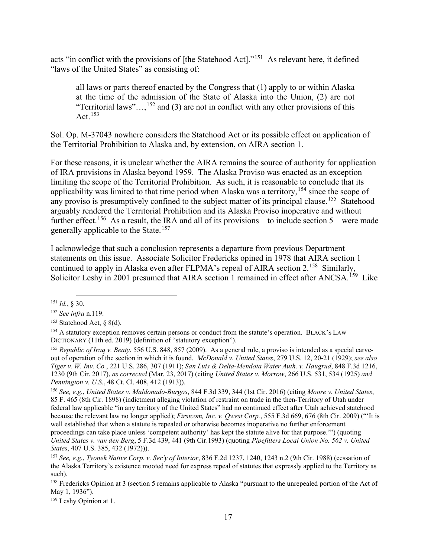acts "in conflict with the provisions of [the Statehood Act]."[151](#page-19-0) As relevant here, it defined "laws of the United States" as consisting of:

all laws or parts thereof enacted by the Congress that (1) apply to or within Alaska at the time of the admission of the State of Alaska into the Union, (2) are not "Territorial laws"...,<sup>[152](#page-19-1)</sup> and (3) are not in conflict with any other provisions of this Act.  $153$ 

Sol. Op. M-37043 nowhere considers the Statehood Act or its possible effect on application of the Territorial Prohibition to Alaska and, by extension, on AIRA section 1.

For these reasons, it is unclear whether the AIRA remains the source of authority for application of IRA provisions in Alaska beyond 1959. The Alaska Proviso was enacted as an exception limiting the scope of the Territorial Prohibition. As such, it is reasonable to conclude that its applicability was limited to that time period when Alaska was a territory, <sup>[154](#page-19-3)</sup> since the scope of any proviso is presumptively confined to the subject matter of its principal clause.<sup>[155](#page-19-4)</sup> Statehood arguably rendered the Territorial Prohibition and its Alaska Proviso inoperative and without further effect.<sup>156</sup> As a result, the IRA and all of its provisions – to include section  $5$  – were made generally applicable to the State.[157](#page-19-6)

I acknowledge that such a conclusion represents a departure from previous Department statements on this issue. Associate Solicitor Fredericks opined in 1978 that AIRA section 1 continued to apply in Alaska even after FLPMA's repeal of AIRA section 2.<sup>[158](#page-19-7)</sup> Similarly, Solicitor Leshy in 2001 presumed that AIRA section 1 remained in effect after ANCSA.<sup>[159](#page-19-8)</sup> Like

<span id="page-19-5"></span><sup>156</sup> *See, e.g.*, *United States v. Maldonado-Burgos*, 844 F.3d 339, 344 (1st Cir. 2016) (citing *Moore v. United States*, 85 F. 465 (8th Cir. 1898) (indictment alleging violation of restraint on trade in the then-Territory of Utah under federal law applicable "in any territory of the United States" had no continued effect after Utah achieved statehood because the relevant law no longer applied); *Firstcom, Inc. v. Qwest Corp.*, 555 F.3d 669, 676 (8th Cir. 2009) ("'It is well established that when a statute is repealed or otherwise becomes inoperative no further enforcement proceedings can take place unless 'competent authority' has kept the statute alive for that purpose.'") (quoting *United States v. van den Berg*, 5 F.3d 439, 441 (9th Cir.1993) (quoting *Pipefitters Local Union No. 562 v. United States*, 407 U.S. 385, 432 (1972))).

<span id="page-19-0"></span><sup>151</sup> *Id.*, § 30.

<span id="page-19-1"></span><sup>152</sup> *See infra* n.119. 153 Statehood Act, § 8(d).

<span id="page-19-3"></span><span id="page-19-2"></span><sup>&</sup>lt;sup>154</sup> A statutory exception removes certain persons or conduct from the statute's operation. BLACK'S LAW DICTIONARY (11th ed. 2019) (definition of "statutory exception").

<span id="page-19-4"></span><sup>155</sup> *Republic of Iraq v. Beaty*, 556 U.S. 848, 857 (2009). As a general rule, a proviso is intended as a special carveout of operation of the section in which it is found. *McDonald v. United States*, 279 U.S. 12, 20-21 (1929); *see also Tiger v. W. Inv. Co.*, 221 U.S. 286, 307 (1911); *San Luis & Delta-Mendota Water Auth. v. Haugrud*, 848 F.3d 1216, 1230 (9th Cir. 2017), *as corrected* (Mar. 23, 2017) (citing *United States v. Morrow*, 266 U.S. 531, 534 (1925) *and Pennington v. U.S.*, 48 Ct. Cl. 408, 412 (1913)).

<span id="page-19-6"></span><sup>157</sup> *See, e.g.*, *Tyonek Native Corp. v. Sec'y of Interior*, 836 F.2d 1237, 1240, 1243 n.2 (9th Cir. 1988) (cessation of the Alaska Territory's existence mooted need for express repeal of statutes that expressly applied to the Territory as such).

<span id="page-19-7"></span><sup>&</sup>lt;sup>158</sup> Fredericks Opinion at 3 (section 5 remains applicable to Alaska "pursuant to the unrepealed portion of the Act of May 1, 1936").

<span id="page-19-8"></span><sup>159</sup> Leshy Opinion at 1.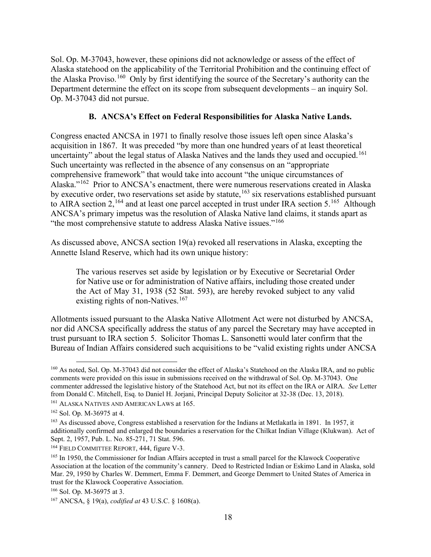Sol. Op. M-37043, however, these opinions did not acknowledge or assess of the effect of Alaska statehood on the applicability of the Territorial Prohibition and the continuing effect of the Alaska Proviso.<sup>[160](#page-20-0)</sup> Only by first identifying the source of the Secretary's authority can the Department determine the effect on its scope from subsequent developments – an inquiry Sol. Op. M-37043 did not pursue.

## **B. ANCSA's Effect on Federal Responsibilities for Alaska Native Lands.**

Congress enacted ANCSA in 1971 to finally resolve those issues left open since Alaska's acquisition in 1867. It was preceded "by more than one hundred years of at least theoretical uncertainty" about the legal status of Alaska Natives and the lands they used and occupied.<sup>[161](#page-20-1)</sup> Such uncertainty was reflected in the absence of any consensus on an "appropriate comprehensive framework" that would take into account "the unique circumstances of Alaska."[162](#page-20-2) Prior to ANCSA's enactment, there were numerous reservations created in Alaska by executive order, two reservations set aside by statute,<sup>[163](#page-20-3)</sup> six reservations established pursuant to AIRA section 2,<sup>[164](#page-20-4)</sup> and at least one parcel accepted in trust under IRA section 5.<sup>[165](#page-20-5)</sup> Although ANCSA's primary impetus was the resolution of Alaska Native land claims, it stands apart as "the most comprehensive statute to address Alaska Native issues."<sup>[166](#page-20-6)</sup>

As discussed above, ANCSA section 19(a) revoked all reservations in Alaska, excepting the Annette Island Reserve, which had its own unique history:

The various reserves set aside by legislation or by Executive or Secretarial Order for Native use or for administration of Native affairs, including those created under the Act of May 31, 1938 (52 Stat. 593), are hereby revoked subject to any valid existing rights of non-Natives.<sup>[167](#page-20-7)</sup>

Allotments issued pursuant to the Alaska Native Allotment Act were not disturbed by ANCSA, nor did ANCSA specifically address the status of any parcel the Secretary may have accepted in trust pursuant to IRA section 5. Solicitor Thomas L. Sansonetti would later confirm that the Bureau of Indian Affairs considered such acquisitions to be "valid existing rights under ANCSA

<span id="page-20-0"></span><sup>160</sup> As noted, Sol. Op. M-37043 did not consider the effect of Alaska's Statehood on the Alaska IRA, and no public comments were provided on this issue in submissions received on the withdrawal of Sol. Op. M-37043. One commenter addressed the legislative history of the Statehood Act, but not its effect on the IRA or AIRA. *See* Letter from Donald C. Mitchell, Esq. to Daniel H. Jorjani, Principal Deputy Solicitor at 32-38 (Dec. 13, 2018). 161 ALASKA NATIVES AND AMERICAN LAWS at 165.

<span id="page-20-1"></span>

<span id="page-20-2"></span><sup>162</sup> Sol. Op. M-36975 at 4.

<span id="page-20-3"></span><sup>163</sup> As discussed above, Congress established a reservation for the Indians at Metlakatla in 1891. In 1957, it additionally confirmed and enlarged the boundaries a reservation for the Chilkat Indian Village (Klukwan). Act of Sept. 2, 1957, Pub. L. No. 85-271, 71 Stat. 596.

<span id="page-20-4"></span><sup>&</sup>lt;sup>164</sup> FIELD COMMITTEE REPORT, 444, figure V-3.

<span id="page-20-5"></span><sup>165</sup> In 1950, the Commissioner for Indian Affairs accepted in trust a small parcel for the Klawock Cooperative Association at the location of the community's cannery. Deed to Restricted Indian or Eskimo Land in Alaska, sold Mar. 29, 1950 by Charles W. Demmert, Emma F. Demmert, and George Demmert to United States of America in trust for the Klawock Cooperative Association.

<span id="page-20-6"></span><sup>166</sup> Sol. Op. M-36975 at 3.

<span id="page-20-7"></span><sup>167</sup> ANCSA, § 19(a), *codified at* 43 U.S.C. § 1608(a).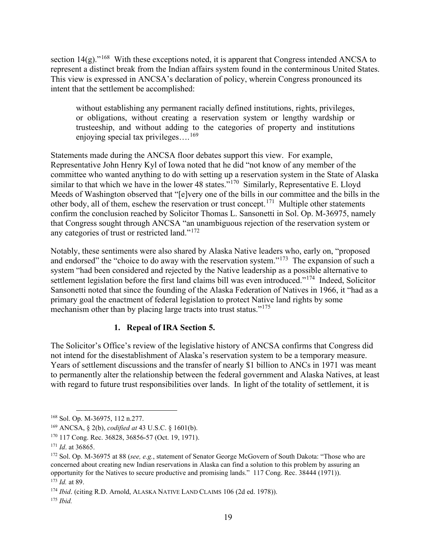section 14(g)."<sup>[168](#page-21-0)</sup> With these exceptions noted, it is apparent that Congress intended ANCSA to represent a distinct break from the Indian affairs system found in the conterminous United States. This view is expressed in ANCSA's declaration of policy, wherein Congress pronounced its intent that the settlement be accomplished:

without establishing any permanent racially defined institutions, rights, privileges, or obligations, without creating a reservation system or lengthy wardship or trusteeship, and without adding to the categories of property and institutions enjoying special tax privileges... $^{169}$  $^{169}$  $^{169}$ 

Statements made during the ANCSA floor debates support this view. For example, Representative John Henry Kyl of Iowa noted that he did "not know of any member of the committee who wanted anything to do with setting up a reservation system in the State of Alaska similar to that which we have in the lower 48 states."<sup>170</sup> Similarly, Representative E. Lloyd Meeds of Washington observed that "[e]very one of the bills in our committee and the bills in the other body, all of them, eschew the reservation or trust concept.<sup>[171](#page-21-3)</sup> Multiple other statements confirm the conclusion reached by Solicitor Thomas L. Sansonetti in Sol. Op. M-36975, namely that Congress sought through ANCSA "an unambiguous rejection of the reservation system or any categories of trust or restricted land."[172](#page-21-4) 

Notably, these sentiments were also shared by Alaska Native leaders who, early on, "proposed and endorsed" the "choice to do away with the reservation system."<sup>173</sup> The expansion of such a system "had been considered and rejected by the Native leadership as a possible alternative to settlement legislation before the first land claims bill was even introduced."<sup>174</sup> Indeed, Solicitor Sansonetti noted that since the founding of the Alaska Federation of Natives in 1966, it "had as a primary goal the enactment of federal legislation to protect Native land rights by some mechanism other than by placing large tracts into trust status."<sup>[175](#page-21-7)</sup>

### **1. Repeal of IRA Section 5.**

The Solicitor's Office's review of the legislative history of ANCSA confirms that Congress did not intend for the disestablishment of Alaska's reservation system to be a temporary measure. Years of settlement discussions and the transfer of nearly \$1 billion to ANCs in 1971 was meant to permanently alter the relationship between the federal government and Alaska Natives, at least with regard to future trust responsibilities over lands. In light of the totality of settlement, it is

<span id="page-21-0"></span><sup>168</sup> Sol. Op. M-36975, 112 n.277.

<span id="page-21-1"></span><sup>169</sup> ANCSA, § 2(b), *codified at* 43 U.S.C. § 1601(b).

<span id="page-21-2"></span><sup>170</sup> 117 Cong. Rec. 36828, 36856-57 (Oct. 19, 1971).

<span id="page-21-3"></span><sup>171</sup> *Id*. at 36865.

<span id="page-21-4"></span><sup>172</sup> Sol. Op. M-36975 at 88 (*see, e.g.*, statement of Senator George McGovern of South Dakota: "Those who are concerned about creating new Indian reservations in Alaska can find a solution to this problem by assuring an opportunity for the Natives to secure productive and promising lands." 117 Cong. Rec. 38444 (1971)). <sup>173</sup> *Id.* at 89.

<span id="page-21-6"></span><span id="page-21-5"></span><sup>&</sup>lt;sup>174</sup> *Ibid.* (citing R.D. Arnold, ALASKA NATIVE LAND CLAIMS 106 (2d ed. 1978)).

<span id="page-21-7"></span><sup>175</sup> *Ibid.*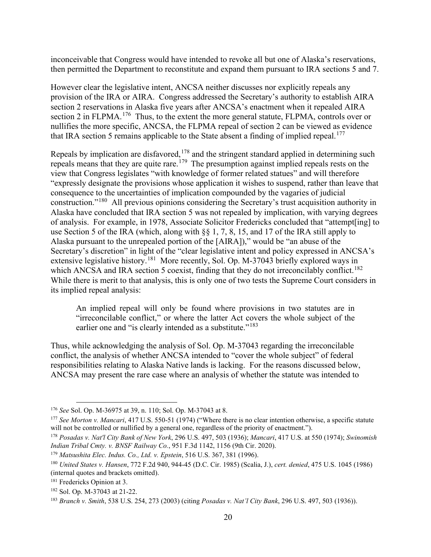inconceivable that Congress would have intended to revoke all but one of Alaska's reservations, then permitted the Department to reconstitute and expand them pursuant to IRA sections 5 and 7.

However clear the legislative intent, ANCSA neither discusses nor explicitly repeals any provision of the IRA or AIRA. Congress addressed the Secretary's authority to establish AIRA section 2 reservations in Alaska five years after ANCSA's enactment when it repealed AIRA section 2 in FLPMA.<sup>[176](#page-22-0)</sup> Thus, to the extent the more general statute, FLPMA, controls over or nullifies the more specific, ANCSA, the FLPMA repeal of section 2 can be viewed as evidence that IRA section 5 remains applicable to the State absent a finding of implied repeal.<sup>[177](#page-22-1)</sup>

Repeals by implication are disfavored, <sup>[178](#page-22-2)</sup> and the stringent standard applied in determining such repeals means that they are quite rare.<sup>[179](#page-22-3)</sup> The presumption against implied repeals rests on the view that Congress legislates "with knowledge of former related statues" and will therefore "expressly designate the provisions whose application it wishes to suspend, rather than leave that consequence to the uncertainties of implication compounded by the vagaries of judicial construction."[180](#page-22-4) All previous opinions considering the Secretary's trust acquisition authority in Alaska have concluded that IRA section 5 was not repealed by implication, with varying degrees of analysis. For example, in 1978, Associate Solicitor Fredericks concluded that "attempt[ing] to use Section 5 of the IRA (which, along with §§ 1, 7, 8, 15, and 17 of the IRA still apply to Alaska pursuant to the unrepealed portion of the [AIRA])," would be "an abuse of the Secretary's discretion" in light of the "clear legislative intent and policy expressed in ANCSA's extensive legislative history.<sup>181</sup> More recently, Sol. Op. M-37043 briefly explored ways in which ANCSA and IRA section 5 coexist, finding that they do not irreconcilably conflict.<sup>182</sup> While there is merit to that analysis, this is only one of two tests the Supreme Court considers in its implied repeal analysis:

An implied repeal will only be found where provisions in two statutes are in "irreconcilable conflict," or where the latter Act covers the whole subject of the earlier one and "is clearly intended as a substitute."<sup>[183](#page-22-7)</sup>

Thus, while acknowledging the analysis of Sol. Op. M-37043 regarding the irreconcilable conflict, the analysis of whether ANCSA intended to "cover the whole subject" of federal responsibilities relating to Alaska Native lands is lacking. For the reasons discussed below, ANCSA may present the rare case where an analysis of whether the statute was intended to

<span id="page-22-0"></span><sup>176</sup> *See* Sol. Op. M-36975 at 39, n. 110; Sol. Op. M-37043 at 8.

<span id="page-22-1"></span><sup>177</sup> *See Morton v. Mancari*, 417 U.S. 550-51 (1974) ("Where there is no clear intention otherwise, a specific statute will not be controlled or nullified by a general one, regardless of the priority of enactment.").

<span id="page-22-2"></span><sup>178</sup> *Posadas v. Nat'l City Bank of New York*, 296 U.S. 497, 503 (1936); *Mancari*, 417 U.S. at 550 (1974); *Swinomish Indian Tribal Cmty. v. BNSF Railway Co.*, 951 F.3d 1142, 1156 (9th Cir. 2020).

<span id="page-22-3"></span><sup>179</sup> *Matsushita Elec. Indus. Co., Ltd. v. Epstein*, 516 U.S. 367, 381 (1996).

<span id="page-22-4"></span><sup>180</sup> *United States v. Hansen*, 772 F.2d 940, 944-45 (D.C. Cir. 1985) (Scalia, J.), *cert. denied*, 475 U.S. 1045 (1986) (internal quotes and brackets omitted).

<span id="page-22-5"></span><sup>181</sup> Fredericks Opinion at 3.

<span id="page-22-6"></span><sup>182</sup> Sol. Op. M-37043 at 21-22.

<span id="page-22-7"></span><sup>183</sup> *Branch v. Smith*, 538 U.S. 254, 273 (2003) (citing *Posadas v. Nat'l City Bank*, 296 U.S. 497, 503 (1936)).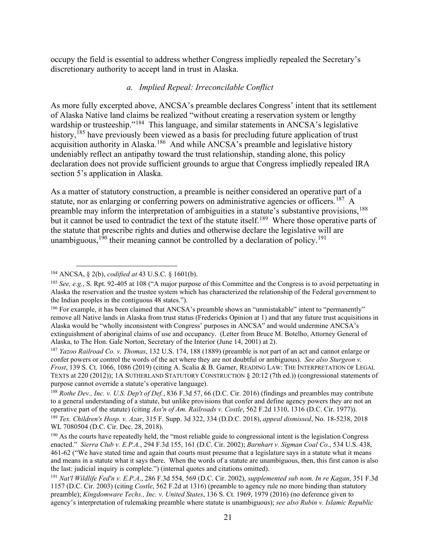occupy the field is essential to address whether Congress impliedly repealed the Secretary's discretionary authority to accept land in trust in Alaska.

#### *a. Implied Repeal: Irreconcilable Conflict*

As more fully excerpted above, ANCSA's preamble declares Congress' intent that its settlement of Alaska Native land claims be realized "without creating a reservation system or lengthy wardship or trusteeship."<sup>[184](#page-23-0)</sup> This language, and similar statements in ANCSA's legislative history,<sup>[185](#page-23-1)</sup> have previously been viewed as a basis for precluding future application of trust acquisition authority in Alaska.<sup>[186](#page-23-2)</sup> And while ANCSA's preamble and legislative history undeniably reflect an antipathy toward the trust relationship, standing alone, this policy declaration does not provide sufficient grounds to argue that Congress impliedly repealed IRA section 5's application in Alaska.

As a matter of statutory construction, a preamble is neither considered an operative part of a statute, nor as enlarging or conferring powers on administrative agencies or officers.<sup>[187](#page-23-3)</sup> A preamble may inform the interpretation of ambiguities in a statute's substantive provisions, <sup>[188](#page-23-4)</sup> but it cannot be used to contradict the text of the statute itself.<sup>[189](#page-23-5)</sup> Where those operative parts of the statute that prescribe rights and duties and otherwise declare the legislative will are unambiguous,<sup>[190](#page-23-6)</sup> their meaning cannot be controlled by a declaration of policy.<sup>[191](#page-23-7)</sup>

<span id="page-23-4"></span><sup>188</sup> *Rothe Dev., Inc. v. U.S. Dep't of Def.*, 836 F.3d 57, 66 (D.C. Cir. 2016) (findings and preambles may contribute to a general understanding of a statute, but unlike provisions that confer and define agency powers they are not an operative part of the statute) (citing Ass'n of Am. Railroads v. Costle, 562 F.2d 1310, 1316 (D.C. Cir. 19 <sup>189</sup> Tex. Children's Hosp. v. Azar, 315 F. Supp. 3d 322, 334 (D.D.C. 2018), appeal dismissed, No. 18-5238, 2018 WL 7080504 (D.C. Cir. Dec. 28, 2018).

<span id="page-23-0"></span><sup>184</sup> ANCSA, § 2(b), *codified at* 43 U.S.C. § 1601(b).

<span id="page-23-1"></span><sup>185</sup> *See, e.g.*, S. Rpt. 92-405 at 108 ("A major purpose of this Committee and the Congress is to avoid perpetuating in Alaska the reservation and the trustee system which has characterized the relationship of the Federal government to the Indian peoples in the contiguous 48 states.").

<span id="page-23-2"></span><sup>&</sup>lt;sup>186</sup> For example, it has been claimed that ANCSA's preamble shows an "unmistakable" intent to "permanently" remove all Native lands in Alaska from trust status (Fredericks Opinion at 1) and that any future trust acquisitions in Alaska would be "wholly inconsistent with Congress' purposes in ANCSA" and would undermine ANCSA's extinguishment of aboriginal claims of use and occupancy. (Letter from Bruce M. Botelho, Attorney General of Alaska, to The Hon. Gale Norton, Secretary of the Interior (June 14, 2001) at 2).

<span id="page-23-3"></span><sup>187</sup> *Yazoo Railroad Co. v. Thomas*, 132 U.S. 174, 188 (1889) (preamble is not part of an act and cannot enlarge or confer powers or control the words of the act where they are not doubtful or ambiguous). *See also Sturgeon v. Frost*, 139 S. Ct. 1066, 1086 (2019) (citing A. Scalia & B. Garner, READING LAW: THE INTERPRETATION OF LEGAL TEXTS at 220 (2012)); 1A SUTHERLAND STATUTORY CONSTRUCTION § 20:12 (7th ed.)) (congressional statements of purpose cannot override a statute's operative language).

<span id="page-23-6"></span><span id="page-23-5"></span><sup>&</sup>lt;sup>190</sup> As the courts have repeatedly held, the "most reliable guide to congressional intent is the legislation Congress enacted." *Sierra Club v. E.P.A.*, 294 F.3d 155, 161 (D.C. Cir. 2002); *Barnhart v. Sigman Coal Co.*, 534 U.S. 438, 461-62 ("We have stated time and again that courts must presume that a legislature says in a statute what it means and means in a statute what it says there. When the words of a statute are unambiguous, then, this first canon is also the last: judicial inquiry is complete.") (internal quotes and citations omitted).

<span id="page-23-7"></span><sup>191</sup> *Nat'l Wildlife Fed'n v. E.P.A*., 286 F.3d 554, 569 (D.C. Cir. 2002), *supplemented sub nom. In re Kagan*, 351 F.3d 1157 (D.C. Cir. 2003) (citing *Costle*, 562 F.2d at 1316) (preamble to agency rule no more binding than statutory preamble); *Kingdomware Techs., Inc. v. United States*, 136 S. Ct. 1969, 1979 (2016) (no deference given to agency's interpretation of rulemaking preamble where statute is unambiguous); *see also Rubin v. Islamic Republic*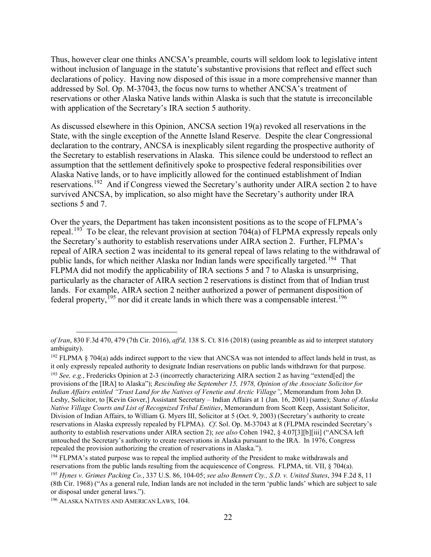Thus, however clear one thinks ANCSA's preamble, courts will seldom look to legislative intent without inclusion of language in the statute's substantive provisions that reflect and effect such declarations of policy. Having now disposed of this issue in a more comprehensive manner than addressed by Sol. Op. M-37043, the focus now turns to whether ANCSA's treatment of reservations or other Alaska Native lands within Alaska is such that the statute is irreconcilable with application of the Secretary's IRA section 5 authority.

As discussed elsewhere in this Opinion, ANCSA section 19(a) revoked all reservations in the State, with the single exception of the Annette Island Reserve. Despite the clear Congressional declaration to the contrary, ANCSA is inexplicably silent regarding the prospective authority of the Secretary to establish reservations in Alaska. This silence could be understood to reflect an assumption that the settlement definitively spoke to prospective federal responsibilities over Alaska Native lands, or to have implicitly allowed for the continued establishment of Indian reservations.<sup>192</sup> And if Congress viewed the Secretary's authority under AIRA section 2 to have survived ANCSA, by implication, so also might have the Secretary's authority under IRA sections 5 and 7.

Over the years, the Department has taken inconsistent positions as to the scope of FLPMA's repeal.<sup>[193](#page-24-1)</sup> To be clear, the relevant provision at section 704(a) of FLPMA expressly repeals only the Secretary's authority to establish reservations under AIRA section 2. Further, FLPMA's repeal of AIRA section 2 was incidental to its general repeal of laws relating to the withdrawal of public lands, for which neither Alaska nor Indian lands were specifically targeted.<sup>[194](#page-24-2)</sup> That FLPMA did not modify the applicability of IRA sections 5 and 7 to Alaska is unsurprising, particularly as the character of AIRA section 2 reservations is distinct from that of Indian trust lands. For example, AIRA section 2 neither authorized a power of permanent disposition of federal property,  $195$  nor did it create lands in which there was a compensable interest.  $196$ 

<span id="page-24-2"></span>repealed the provision authorizing the creation of reservations in Alaska.").<br><sup>194</sup> FLPMA's stated purpose was to repeal the implied authority of the President to make withdrawals and<br>reservations from the public lands re

*of Iran*, 830 F.3d 470, 479 (7th Cir. 2016), *aff'd,* 138 S. Ct. 816 (2018) (using preamble as aid to interpret statutory ambiguity).

<span id="page-24-0"></span> $192$  FLPMA § 704(a) adds indirect support to the view that ANCSA was not intended to affect lands held in trust, as it only expressly repealed authority to designate Indian reservations on public lands withdrawn for that purpose.

<span id="page-24-1"></span><sup>193</sup> *See, e.g.*, Fredericks Opinion at 2-3 (incorrectly characterizing AIRA section 2 as having "extend[ed] the provisions of the [IRA] to Alaska"); *Rescinding the September 15, 1978, Opinion of the Associate Solicitor for Indian Affairs entitled "Trust Land for the Natives of Venetie and Arctic Village"*, Memorandum from John D. Leshy, Solicitor, to [Kevin Gover,] Assistant Secretary – Indian Affairs at 1 (Jan. 16, 2001) (same); *Status of Alaska Native Village Courts and List of Recognized Tribal Entities*, Memorandum from Scott Keep, Assistant Solicitor, Division of Indian Affairs, to William G. Myers III, Solicitor at 5 (Oct. 9, 2003) (Secretary's authority to create reservations in Alaska expressly repealed by FLPMA). *Cf*. Sol. Op. M-37043 at 8 (FLPMA rescinded Secretary's authority to establish reservations under AIRA section 2); *see also* Cohen 1942, § 4.07[3][b][iii] ("ANCSA left untouched the Secretary's authority to create reservations in Alaska pursuant to the IRA. In 1976, Congress

<span id="page-24-3"></span><sup>&</sup>lt;sup>195</sup> Hynes v. Grimes Packing Co., 337 U.S. 86, 104-05; see also Bennett Ctv., S.D. v. United States, 394 F.2d 8, 11 (8th Cir. 1968) ("As a general rule, Indian lands are not included in the term 'public lands' which are subject to sale or disposal under general laws.").

<span id="page-24-4"></span><sup>196</sup> ALASKA NATIVES AND AMERICAN LAWS, 104.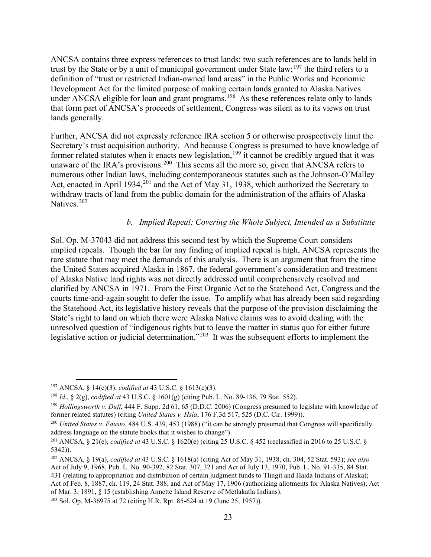ANCSA contains three express references to trust lands: two such references are to lands held in trust by the State or by a unit of municipal government under State law;<sup>[197](#page-25-0)</sup> the third refers to a definition of "trust or restricted Indian-owned land areas" in the Public Works and Economic Development Act for the limited purpose of making certain lands granted to Alaska Natives under ANCSA eligible for loan and grant programs.<sup>[198](#page-25-1)</sup> As these references relate only to lands that form part of ANCSA's proceeds of settlement, Congress was silent as to its views on trust lands generally.

Further, ANCSA did not expressly reference IRA section 5 or otherwise prospectively limit the Secretary's trust acquisition authority. And because Congress is presumed to have knowledge of former related statutes when it enacts new legislation,<sup>[199](#page-25-2)</sup> it cannot be credibly argued that it was unaware of the IRA's provisions.<sup>[200](#page-25-3)</sup> This seems all the more so, given that ANCSA refers to numerous other Indian laws, including contemporaneous statutes such as the Johnson-O'Malley Act, enacted in April 1934,<sup>[201](#page-25-4)</sup> and the Act of May 31, 1938, which authorized the Secretary to withdraw tracts of land from the public domain for the administration of the affairs of Alaska Natives.<sup>[202](#page-25-5)</sup>

### *b. Implied Repeal: Covering the Whole Subject, Intended as a Substitute*

Sol. Op. M-37043 did not address this second test by which the Supreme Court considers implied repeals. Though the bar for any finding of implied repeal is high, ANCSA represents the rare statute that may meet the demands of this analysis. There is an argument that from the time the United States acquired Alaska in 1867, the federal government's consideration and treatment of Alaska Native land rights was not directly addressed until comprehensively resolved and clarified by ANCSA in 1971. From the First Organic Act to the Statehood Act, Congress and the courts time-and-again sought to defer the issue. To amplify what has already been said regarding the Statehood Act, its legislative history reveals that the purpose of the provision disclaiming the State's right to land on which there were Alaska Native claims was to avoid dealing with the unresolved question of "indigenous rights but to leave the matter in status quo for either future legislative action or judicial determination."<sup>[203](#page-25-6)</sup> It was the subsequent efforts to implement the

<span id="page-25-0"></span><sup>197</sup> ANCSA, § 14(c)(3), *codified at* 43 U.S.C. § 1613(c)(3).

<span id="page-25-1"></span><sup>198</sup> *Id.*, § 2(g), *codified at* 43 U.S.C. § 1601(g) (citing Pub. L. No. 89-136, 79 Stat. 552).

<span id="page-25-2"></span><sup>199</sup> *Hollingsworth v. Duff*, 444 F. Supp. 2d 61, 65 (D.D.C. 2006) (Congress presumed to legislate with knowledge of former related statutes) (citing *United States v. Hsia*, 176 F.3d 517, 525 (D.C. Cir. 1999)).

<span id="page-25-3"></span><sup>200</sup> *United States v. Fausto*, 484 U.S. 439, 453 (1988) ("it can be strongly presumed that Congress will specifically address language on the statute books that it wishes to change").

<span id="page-25-4"></span><sup>201</sup> ANCSA, § 21(e), *codified at* 43 U.S.C. § 1620(e) (citing 25 U.S.C. § 452 (reclassified in 2016 to 25 U.S.C. § 5342)).

<span id="page-25-5"></span><sup>202</sup> ANCSA, § 19(a), *codified at* 43 U.S.C. § 1618(a) (citing Act of May 31, 1938, ch. 304, 52 Stat. 593); *see also* Act of July 9, 1968, Pub. L. No. 90-392, 82 Stat. 307, 321 and Act of July 13, 1970, Pub. L. No. 91-335, 84 Stat. 431 (relating to appropriation and distribution of certain judgment funds to Tlingit and Haida Indians of Alaska); Act of Feb. 8, 1887, ch. 119, 24 Stat. 388, and Act of May 17, 1906 (authorizing allotments for Alaska Natives); Act of Mar. 3, 1891, § 15 (establishing Annette Island Reserve of Metlakatla Indians).

<span id="page-25-6"></span><sup>203</sup> Sol. Op. M-36975 at 72 (citing H.R. Rpt. 85-624 at 19 (June 25, 1957)).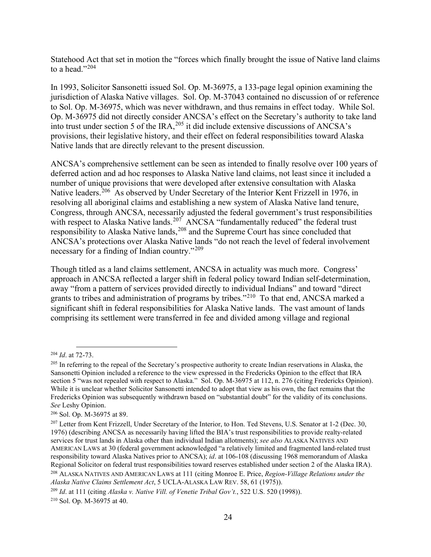Statehood Act that set in motion the "forces which finally brought the issue of Native land claims to a head." $204$ 

In 1993, Solicitor Sansonetti issued Sol. Op. M-36975, a 133-page legal opinion examining the jurisdiction of Alaska Native villages. Sol. Op. M-37043 contained no discussion of or reference to Sol. Op. M-36975, which was never withdrawn, and thus remains in effect today. While Sol. Op. M-36975 did not directly consider ANCSA's effect on the Secretary's authority to take land into trust under section 5 of the IRA,<sup>[205](#page-26-1)</sup> it did include extensive discussions of ANCSA's provisions, their legislative history, and their effect on federal responsibilities toward Alaska Native lands that are directly relevant to the present discussion.

ANCSA's comprehensive settlement can be seen as intended to finally resolve over 100 years of deferred action and ad hoc responses to Alaska Native land claims, not least since it included a number of unique provisions that were developed after extensive consultation with Alaska Native leaders.<sup>206</sup> As observed by Under Secretary of the Interior Kent Frizzell in 1976, in resolving all aboriginal claims and establishing a new system of Alaska Native land tenure, Congress, through ANCSA, necessarily adjusted the federal government's trust responsibilities with respect to Alaska Native lands.<sup>[207](#page-26-3)</sup> ANCSA "fundamentally reduced" the federal trust responsibility to Alaska Native lands,<sup>[208](#page-26-4)</sup> and the Supreme Court has since concluded that ANCSA's protections over Alaska Native lands "do not reach the level of federal involvement necessary for a finding of Indian country."<sup>[209](#page-26-5)</sup>

Though titled as a land claims settlement, ANCSA in actuality was much more. Congress' approach in ANCSA reflected a larger shift in federal policy toward Indian self-determination, away "from a pattern of services provided directly to individual Indians" and toward "direct grants to tribes and administration of programs by tribes."[210](#page-26-6) To that end, ANCSA marked a significant shift in federal responsibilities for Alaska Native lands. The vast amount of lands comprising its settlement were transferred in fee and divided among village and regional

<span id="page-26-6"></span><sup>210</sup> Sol. Op. M-36975 at 40.

<span id="page-26-0"></span><sup>204</sup> *Id*. at 72-73.

<span id="page-26-1"></span> $^{205}$  In referring to the repeal of the Secretary's prospective authority to create Indian reservations in Alaska, the Sansonetti Opinion included a reference to the view expressed in the Fredericks Opinion to the effect that IRA section 5 "was not repealed with respect to Alaska." Sol. Op. M-36975 at 112, n. 276 (citing Fredericks Opinion). While it is unclear whether Solicitor Sansonetti intended to adopt that view as his own, the fact remains that the Fredericks Opinion was subsequently withdrawn based on "substantial doubt" for the validity of its conclusions. *See* Leshy Opinion.

<span id="page-26-2"></span><sup>206</sup> Sol. Op. M-36975 at 89.

<span id="page-26-3"></span><sup>&</sup>lt;sup>207</sup> Letter from Kent Frizzell, Under Secretary of the Interior, to Hon. Ted Stevens, U.S. Senator at 1-2 (Dec. 30, 1976) (describing ANCSA as necessarily having lifted the BIA's trust responsibilities to provide realty-related services for trust lands in Alaska other than individual Indian allotments); *see also* ALASKA NATIVES AND AMERICAN LAWS at 30 (federal government acknowledged "a relatively limited and fragmented land-related trust responsibility toward Alaska Natives prior to ANCSA); *id*. at 106-108 (discussing 1968 memorandum of Alaska Regional Solicitor on federal trust responsibilities toward reserves established under section 2 of the Alaska IRA). <sup>208</sup> ALASKA NATIVES AND AMERICAN LAWS at 111 (citing Monroe E. Price, *Region-Village Relations under the Alaska Native Claims Settlement Act*, 5 UCLA-ALASKA LAW REV. 58, 61 (1975)).

<span id="page-26-5"></span><span id="page-26-4"></span><sup>209</sup> *Id*. at 111 (citing *Alaska v. Native Vill. of Venetie Tribal Gov't.*, 522 U.S. 520 (1998)).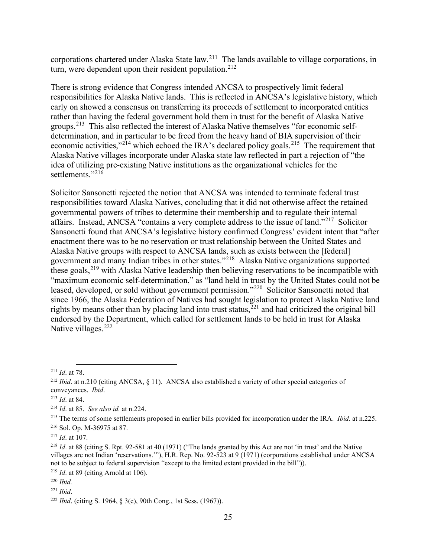corporations chartered under Alaska State law.[211](#page-27-0) The lands available to village corporations, in turn, were dependent upon their resident population.<sup>[212](#page-27-1)</sup>

There is strong evidence that Congress intended ANCSA to prospectively limit federal responsibilities for Alaska Native lands. This is reflected in ANCSA's legislative history, which early on showed a consensus on transferring its proceeds of settlement to incorporated entities rather than having the federal government hold them in trust for the benefit of Alaska Native groups.[213](#page-27-2) This also reflected the interest of Alaska Native themselves "for economic selfdetermination, and in particular to be freed from the heavy hand of BIA supervision of their economic activities,"<sup>[214](#page-27-3)</sup> which echoed the IRA's declared policy goals.<sup>[215](#page-27-4)</sup> The requirement that Alaska Native villages incorporate under Alaska state law reflected in part a rejection of "the idea of utilizing pre-existing Native institutions as the organizational vehicles for the settlements."[216](#page-27-5)

Solicitor Sansonetti rejected the notion that ANCSA was intended to terminate federal trust responsibilities toward Alaska Natives, concluding that it did not otherwise affect the retained governmental powers of tribes to determine their membership and to regulate their internal affairs. Instead, ANCSA "contains a very complete address to the issue of land."[217](#page-27-6) Solicitor Sansonetti found that ANCSA's legislative history confirmed Congress' evident intent that "after enactment there was to be no reservation or trust relationship between the United States and Alaska Native groups with respect to ANCSA lands, such as exists between the [federal] government and many Indian tribes in other states."[218](#page-27-7) Alaska Native organizations supported these goals,  $^{219}$  $^{219}$  $^{219}$  with Alaska Native leadership then believing reservations to be incompatible with "maximum economic self-determination," as "land held in trust by the United States could not be leased, developed, or sold without government permission."<sup>[220](#page-27-9)</sup> Solicitor Sansonetti noted that since 1966, the Alaska Federation of Natives had sought legislation to protect Alaska Native land rights by means other than by placing land into trust status,  $221$  and had criticized the original bill endorsed by the Department, which called for settlement lands to be held in trust for Alaska Native villages.<sup>[222](#page-27-11)</sup>

<span id="page-27-1"></span><span id="page-27-0"></span><sup>&</sup>lt;sup>211</sup> *Id.* at 78.<br><sup>212</sup> *Ibid.* at n.210 (citing ANCSA, § 11). ANCSA also established a variety of other special categories of conveyances. *Ibid*. 213 *Id*. at 84.

<span id="page-27-3"></span><span id="page-27-2"></span><sup>214</sup> *Id*. at 85. *See also id.* at n.224.

<span id="page-27-4"></span><sup>215</sup> The terms of some settlements proposed in earlier bills provided for incorporation under the IRA. *Ibid*. at n.225. <sup>216</sup> Sol. Op. M-36975 at 87.

<span id="page-27-6"></span><span id="page-27-5"></span><sup>217</sup> *Id*. at 107.

<span id="page-27-7"></span><sup>218</sup> *Id*. at 88 (citing S. Rpt. 92-581 at 40 (1971) ("The lands granted by this Act are not 'in trust' and the Native villages are not Indian 'reservations.'"), H.R. Rep. No. 92-523 at 9 (1971) (corporations established under ANCSA not to be subject to federal supervision "except to the limited extent provided in the bill")). <sup>219</sup> *Id*. at 89 (citing Arnold at 106).

<span id="page-27-9"></span><span id="page-27-8"></span><sup>220</sup> *Ibid.*

<span id="page-27-10"></span><sup>221</sup> *Ibid*.

<span id="page-27-11"></span><sup>222</sup> *Ibid*. (citing S. 1964, § 3(e), 90th Cong., 1st Sess. (1967)).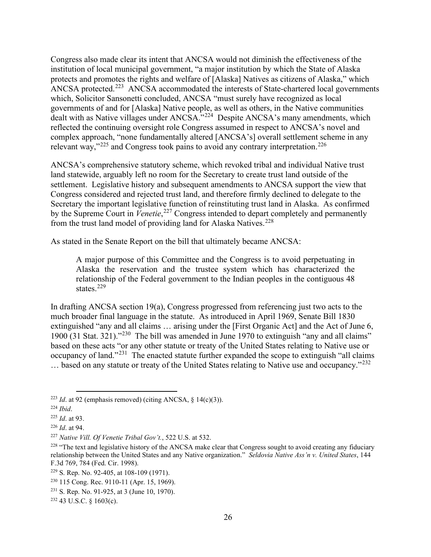Congress also made clear its intent that ANCSA would not diminish the effectiveness of the institution of local municipal government, "a major institution by which the State of Alaska protects and promotes the rights and welfare of [Alaska] Natives as citizens of Alaska," which ANCSA protected.<sup>[223](#page-28-0)</sup> ANCSA accommodated the interests of State-chartered local governments which, Solicitor Sansonetti concluded, ANCSA "must surely have recognized as local governments of and for [Alaska] Native people, as well as others, in the Native communities dealt with as Native villages under ANCSA."<sup>[224](#page-28-1)</sup> Despite ANCSA's many amendments, which reflected the continuing oversight role Congress assumed in respect to ANCSA's novel and complex approach, "none fundamentally altered [ANCSA's] overall settlement scheme in any relevant way," $225$  and Congress took pains to avoid any contrary interpretation. $226$ 

ANCSA's comprehensive statutory scheme, which revoked tribal and individual Native trust land statewide, arguably left no room for the Secretary to create trust land outside of the settlement. Legislative history and subsequent amendments to ANCSA support the view that Congress considered and rejected trust land, and therefore firmly declined to delegate to the Secretary the important legislative function of reinstituting trust land in Alaska. As confirmed by the Supreme Court in *Venetie*, [227](#page-28-4) Congress intended to depart completely and permanently from the trust land model of providing land for Alaska Natives.<sup>[228](#page-28-5)</sup>

As stated in the Senate Report on the bill that ultimately became ANCSA:

A major purpose of this Committee and the Congress is to avoid perpetuating in Alaska the reservation and the trustee system which has characterized the relationship of the Federal government to the Indian peoples in the contiguous 48 states.<sup>[229](#page-28-6)</sup>

In drafting ANCSA section 19(a), Congress progressed from referencing just two acts to the much broader final language in the statute. As introduced in April 1969, Senate Bill 1830 extinguished "any and all claims … arising under the [First Organic Act] and the Act of June 6, 1900 (31 Stat. 321)."[230](#page-28-7) The bill was amended in June 1970 to extinguish "any and all claims" based on these acts "or any other statute or treaty of the United States relating to Native use or occupancy of land."<sup>[231](#page-28-8)</sup> The enacted statute further expanded the scope to extinguish "all claims" ... based on any statute or treaty of the United States relating to Native use and occupancy."<sup>[232](#page-28-9)</sup>

<span id="page-28-0"></span><sup>&</sup>lt;sup>223</sup> *Id.* at 92 (emphasis removed) (citing ANCSA,  $\delta$  14(c)(3)).

<span id="page-28-1"></span><sup>224</sup> *Ibid*.

<span id="page-28-2"></span><sup>225</sup> *Id*. at 93.

<span id="page-28-3"></span><sup>226</sup> *Id*. at 94.

<span id="page-28-4"></span><sup>227</sup> *Native Vill. Of Venetie Tribal Gov't.*, 522 U.S. at 532.

<span id="page-28-5"></span><sup>&</sup>lt;sup>228</sup> "The text and legislative history of the ANCSA make clear that Congress sought to avoid creating any fiduciary relationship between the United States and any Native organization." *Seldovia Native Ass'n v. United States*, 144 F.3d 769, 784 (Fed. Cir. 1998).

<span id="page-28-6"></span><sup>229</sup> S. Rep. No. 92-405, at 108-109 (1971).

<span id="page-28-7"></span><sup>230</sup> 115 Cong. Rec. 9110-11 (Apr. 15, 1969).

<span id="page-28-8"></span><sup>231</sup> S. Rep. No. 91-925, at 3 (June 10, 1970).

<span id="page-28-9"></span> $232$  43 U.S.C. § 1603(c).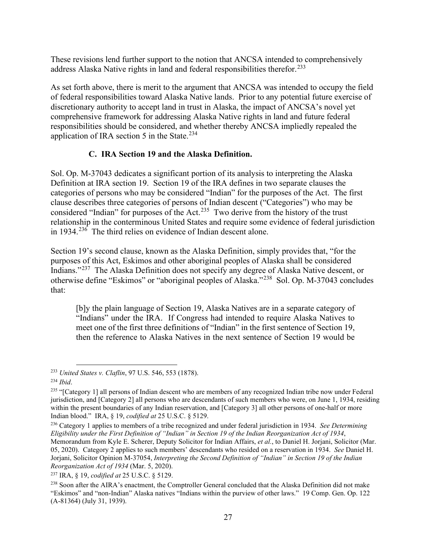These revisions lend further support to the notion that ANCSA intended to comprehensively address Alaska Native rights in land and federal responsibilities therefor.<sup>[233](#page-29-0)</sup>

As set forth above, there is merit to the argument that ANCSA was intended to occupy the field of federal responsibilities toward Alaska Native lands. Prior to any potential future exercise of discretionary authority to accept land in trust in Alaska, the impact of ANCSA's novel yet comprehensive framework for addressing Alaska Native rights in land and future federal responsibilities should be considered, and whether thereby ANCSA impliedly repealed the application of IRA section 5 in the State.<sup>[234](#page-29-1)</sup>

### **C. IRA Section 19 and the Alaska Definition.**

Sol. Op. M-37043 dedicates a significant portion of its analysis to interpreting the Alaska Definition at IRA section 19. Section 19 of the IRA defines in two separate clauses the categories of persons who may be considered "Indian" for the purposes of the Act. The first clause describes three categories of persons of Indian descent ("Categories") who may be considered "Indian" for purposes of the Act.<sup>235</sup> Two derive from the history of the trust relationship in the conterminous United States and require some evidence of federal jurisdiction in 1934.<sup>[236](#page-29-3)</sup> The third relies on evidence of Indian descent alone.

Section 19's second clause, known as the Alaska Definition, simply provides that, "for the purposes of this Act, Eskimos and other aboriginal peoples of Alaska shall be considered Indians."[237](#page-29-4) The Alaska Definition does not specify any degree of Alaska Native descent, or otherwise define "Eskimos" or "aboriginal peoples of Alaska."[238](#page-29-5) Sol. Op. M-37043 concludes that:

[b]y the plain language of Section 19, Alaska Natives are in a separate category of "Indians" under the IRA. If Congress had intended to require Alaska Natives to meet one of the first three definitions of "Indian" in the first sentence of Section 19, then the reference to Alaska Natives in the next sentence of Section 19 would be

<span id="page-29-0"></span><sup>233</sup> *United States v. Claflin*, 97 U.S. 546, 553 (1878).

<span id="page-29-1"></span><sup>234</sup> *Ibid*.

<span id="page-29-2"></span><sup>&</sup>lt;sup>235</sup> "[Category 1] all persons of Indian descent who are members of any recognized Indian tribe now under Federal jurisdiction, and [Category 2] all persons who are descendants of such members who were, on June 1, 1934, residing within the present boundaries of any Indian reservation, and [Category 3] all other persons of one-half or more Indian blood." IRA, § 19, *codified at* 25 U.S.C. § 5129.

<span id="page-29-3"></span><sup>236</sup> Category 1 applies to members of a tribe recognized and under federal jurisdiction in 1934. *See Determining Eligibility under the First Definition of "Indian" in Section 19 of the Indian Reorganization Act of 1934*,

Memorandum from Kyle E. Scherer, Deputy Solicitor for Indian Affairs, *et al.*, to Daniel H. Jorjani, Solicitor (Mar. 05, 2020). Category 2 applies to such members' descendants who resided on a reservation in 1934. *See* Daniel H. Jorjani, Solicitor Opinion M-37054, *Interpreting the Second Definition of "Indian" in Section 19 of the Indian Reorganization Act of 1934* (Mar. 5, 2020). 237 IRA, § 19, *codified at* 25 U.S.C. § 5129.

<span id="page-29-4"></span>

<span id="page-29-5"></span><sup>&</sup>lt;sup>238</sup> Soon after the AIRA's enactment, the Comptroller General concluded that the Alaska Definition did not make "Eskimos" and "non-Indian" Alaska natives "Indians within the purview of other laws." 19 Comp. Gen. Op. 122 (A-81364) (July 31, 1939).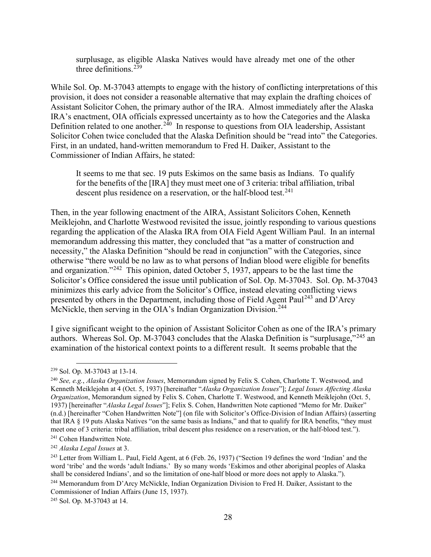surplusage, as eligible Alaska Natives would have already met one of the other three definitions. $239$ 

While Sol. Op. M-37043 attempts to engage with the history of conflicting interpretations of this provision, it does not consider a reasonable alternative that may explain the drafting choices of Assistant Solicitor Cohen, the primary author of the IRA. Almost immediately after the Alaska IRA's enactment, OIA officials expressed uncertainty as to how the Categories and the Alaska Definition related to one another.<sup>[240](#page-30-1)</sup> In response to questions from OIA leadership, Assistant Solicitor Cohen twice concluded that the Alaska Definition should be "read into" the Categories. First, in an undated, hand-written memorandum to Fred H. Daiker, Assistant to the Commissioner of Indian Affairs, he stated:

It seems to me that sec. 19 puts Eskimos on the same basis as Indians. To qualify for the benefits of the [IRA] they must meet one of 3 criteria: tribal affiliation, tribal descent plus residence on a reservation, or the half-blood test.<sup>[241](#page-30-2)</sup>

Then, in the year following enactment of the AIRA, Assistant Solicitors Cohen, Kenneth Meiklejohn, and Charlotte Westwood revisited the issue, jointly responding to various questions regarding the application of the Alaska IRA from OIA Field Agent William Paul. In an internal memorandum addressing this matter, they concluded that "as a matter of construction and necessity," the Alaska Definition "should be read in conjunction" with the Categories, since otherwise "there would be no law as to what persons of Indian blood were eligible for benefits and organization."[242](#page-30-3) This opinion, dated October 5, 1937, appears to be the last time the Solicitor's Office considered the issue until publication of Sol. Op. M-37043. Sol. Op. M-37043 minimizes this early advice from the Solicitor's Office, instead elevating conflicting views presented by others in the Department, including those of Field Agent Paul<sup>[243](#page-30-4)</sup> and  $\overline{D}$ <sup>2</sup>Arcy McNickle, then serving in the OIA's Indian Organization Division.<sup>[244](#page-30-5)</sup>

I give significant weight to the opinion of Assistant Solicitor Cohen as one of the IRA's primary authors. Whereas Sol. Op. M-37043 concludes that the Alaska Definition is "surplusage," $^{245}$  $^{245}$  $^{245}$  an examination of the historical context points to a different result. It seems probable that the

<span id="page-30-0"></span><sup>239</sup> Sol. Op. M-37043 at 13-14.

<span id="page-30-1"></span><sup>240</sup> *See, e.g.*, *Alaska Organization Issues*, Memorandum signed by Felix S. Cohen, Charlotte T. Westwood, and Kenneth Meiklejohn at 4 (Oct. 5, 1937) [hereinafter "*Alaska Organization Issues*"]; *Legal Issues Affecting Alaska Organization*, Memorandum signed by Felix S. Cohen, Charlotte T. Westwood, and Kenneth Meiklejohn (Oct. 5, 1937) [hereinafter "*Alaska Legal Issues*"]; Felix S. Cohen, Handwritten Note captioned "Memo for Mr. Daiker" (n.d.) [hereinafter "Cohen Handwritten Note"] (on file with Solicitor's Office-Division of Indian Affairs) (asserting that IRA § 19 puts Alaska Natives "on the same basis as Indians," and that to qualify for IRA benefits, "they must meet one of 3 criteria: tribal affiliation, tribal descent plus residence on a reservation, or the half-blood test."). 241 Cohen Handwritten Note.

<span id="page-30-4"></span><span id="page-30-3"></span><span id="page-30-2"></span><sup>&</sup>lt;sup>242</sup> *Alaska Legal Issues* at 3.<br><sup>243</sup> Letter from William L. Paul, Field Agent, at 6 (Feb. 26, 1937) ("Section 19 defines the word 'Indian' and the word 'tribe' and the words 'adult Indians.' By so many words 'Eskimos and other aboriginal peoples of Alaska shall be considered Indians', and so the limitation of one-half blood or more does not apply to Alaska."). <sup>244</sup> Memorandum from D'Arcy McNickle, Indian Organization Division to Fred H. Daiker, Assistant to the Commissioner of Indian Affairs (June 15, 1937).

<span id="page-30-6"></span><span id="page-30-5"></span><sup>245</sup> Sol. Op. M-37043 at 14.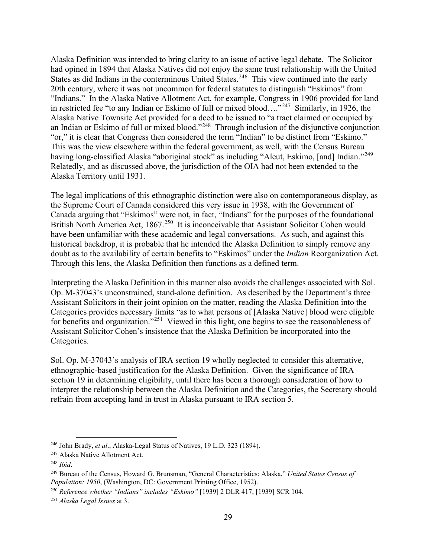Alaska Definition was intended to bring clarity to an issue of active legal debate. The Solicitor had opined in 1894 that Alaska Natives did not enjoy the same trust relationship with the United States as did Indians in the conterminous United States.<sup>246</sup> This view continued into the early 20th century, where it was not uncommon for federal statutes to distinguish "Eskimos" from "Indians." In the Alaska Native Allotment Act, for example, Congress in 1906 provided for land in restricted fee "to any Indian or Eskimo of full or mixed blood…."[247](#page-31-1) Similarly, in 1926, the Alaska Native Townsite Act provided for a deed to be issued to "a tract claimed or occupied by an Indian or Eskimo of full or mixed blood."[248](#page-31-2) Through inclusion of the disjunctive conjunction "or," it is clear that Congress then considered the term "Indian" to be distinct from "Eskimo." This was the view elsewhere within the federal government, as well, with the Census Bureau having long-classified Alaska "aboriginal stock" as including "Aleut, Eskimo, [and] Indian."<sup>[249](#page-31-3)</sup> Relatedly, and as discussed above, the jurisdiction of the OIA had not been extended to the Alaska Territory until 1931.

The legal implications of this ethnographic distinction were also on contemporaneous display, as the Supreme Court of Canada considered this very issue in 1938, with the Government of Canada arguing that "Eskimos" were not, in fact, "Indians" for the purposes of the foundational British North America Act, 1867.<sup>[250](#page-31-4)</sup> It is inconceivable that Assistant Solicitor Cohen would have been unfamiliar with these academic and legal conversations. As such, and against this historical backdrop, it is probable that he intended the Alaska Definition to simply remove any doubt as to the availability of certain benefits to "Eskimos" under the *Indian* Reorganization Act. Through this lens, the Alaska Definition then functions as a defined term.

Interpreting the Alaska Definition in this manner also avoids the challenges associated with Sol. Op. M-37043's unconstrained, stand-alone definition. As described by the Department's three Assistant Solicitors in their joint opinion on the matter, reading the Alaska Definition into the Categories provides necessary limits "as to what persons of [Alaska Native] blood were eligible for benefits and organization."[251](#page-31-5) Viewed in this light, one begins to see the reasonableness of Assistant Solicitor Cohen's insistence that the Alaska Definition be incorporated into the Categories.

Sol. Op. M-37043's analysis of IRA section 19 wholly neglected to consider this alternative, ethnographic-based justification for the Alaska Definition. Given the significance of IRA section 19 in determining eligibility, until there has been a thorough consideration of how to interpret the relationship between the Alaska Definition and the Categories, the Secretary should refrain from accepting land in trust in Alaska pursuant to IRA section 5.

<span id="page-31-0"></span><sup>246</sup> John Brady, *et al*., Alaska-Legal Status of Natives, 19 L.D. 323 (1894).

<span id="page-31-1"></span><sup>247</sup> Alaska Native Allotment Act.

<span id="page-31-2"></span><sup>248</sup> *Ibid*.

<span id="page-31-3"></span><sup>249</sup> Bureau of the Census, Howard G. Brunsman, "General Characteristics: Alaska," *United States Census of Population: 1950*, (Washington, DC: Government Printing Office, 1952).

<span id="page-31-4"></span><sup>250</sup> *Reference whether "Indians" includes "Eskimo"* [1939] 2 DLR 417; [1939] SCR 104.

<span id="page-31-5"></span><sup>251</sup> *Alaska Legal Issues* at 3.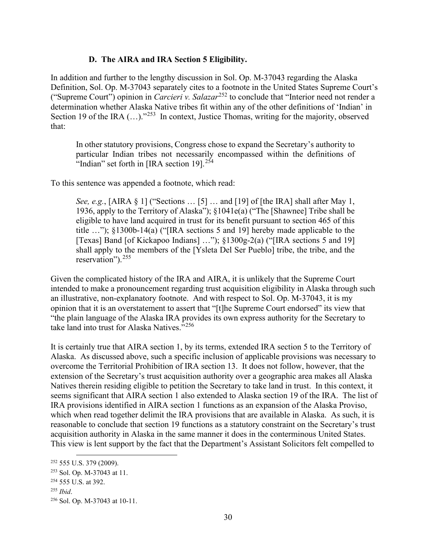## **D. The AIRA and IRA Section 5 Eligibility.**

In addition and further to the lengthy discussion in Sol. Op. M-37043 regarding the Alaska Definition, Sol. Op. M-37043 separately cites to a footnote in the United States Supreme Court's ("Supreme Court") opinion in *Carcieri v. Salazar*[252](#page-32-0) to conclude that "Interior need not render a determination whether Alaska Native tribes fit within any of the other definitions of 'Indian' in Section 19 of the IRA  $(...)$ ."<sup>[253](#page-32-1)</sup> In context, Justice Thomas, writing for the majority, observed that:

In other statutory provisions, Congress chose to expand the Secretary's authority to particular Indian tribes not necessarily encompassed within the definitions of "Indian" set forth in [IRA section 19].<sup>[254](#page-32-2)</sup>

To this sentence was appended a footnote, which read:

*See, e.g.*, [AIRA § 1] ("Sections … [5] … and [19] of [the IRA] shall after May 1, 1936, apply to the Territory of Alaska"); §1041e(a) ("The [Shawnee] Tribe shall be eligible to have land acquired in trust for its benefit pursuant to section 465 of this title …"); §1300b-14(a) ("[IRA sections 5 and 19] hereby made applicable to the [Texas] Band [of Kickapoo Indians] ..."); §1300g-2(a) ("[IRA sections 5 and 19] shall apply to the members of the [Ysleta Del Ser Pueblo] tribe, the tribe, and the reservation").<sup>[255](#page-32-3)</sup>

Given the complicated history of the IRA and AIRA, it is unlikely that the Supreme Court intended to make a pronouncement regarding trust acquisition eligibility in Alaska through such an illustrative, non-explanatory footnote. And with respect to Sol. Op. M-37043, it is my opinion that it is an overstatement to assert that "[t]he Supreme Court endorsed" its view that "the plain language of the Alaska IRA provides its own express authority for the Secretary to take land into trust for Alaska Natives."[256](#page-32-4)

It is certainly true that AIRA section 1, by its terms, extended IRA section 5 to the Territory of Alaska. As discussed above, such a specific inclusion of applicable provisions was necessary to overcome the Territorial Prohibition of IRA section 13. It does not follow, however, that the extension of the Secretary's trust acquisition authority over a geographic area makes all Alaska Natives therein residing eligible to petition the Secretary to take land in trust. In this context, it seems significant that AIRA section 1 also extended to Alaska section 19 of the IRA. The list of IRA provisions identified in AIRA section 1 functions as an expansion of the Alaska Proviso, which when read together delimit the IRA provisions that are available in Alaska. As such, it is reasonable to conclude that section 19 functions as a statutory constraint on the Secretary's trust acquisition authority in Alaska in the same manner it does in the conterminous United States. This view is lent support by the fact that the Department's Assistant Solicitors felt compelled to

<span id="page-32-0"></span><sup>252</sup> 555 U.S. 379 (2009).

<span id="page-32-1"></span><sup>253</sup> Sol. Op. M-37043 at 11.

<span id="page-32-2"></span><sup>254</sup> 555 U.S. at 392.

<span id="page-32-3"></span><sup>255</sup> *Ibid*.

<span id="page-32-4"></span><sup>256</sup> Sol. Op. M-37043 at 10-11.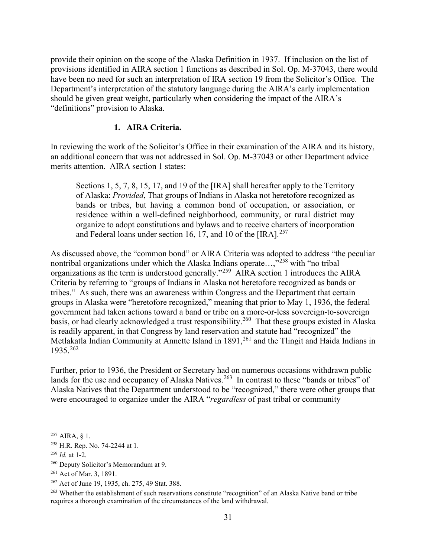provide their opinion on the scope of the Alaska Definition in 1937. If inclusion on the list of provisions identified in AIRA section 1 functions as described in Sol. Op. M-37043, there would have been no need for such an interpretation of IRA section 19 from the Solicitor's Office. The Department's interpretation of the statutory language during the AIRA's early implementation should be given great weight, particularly when considering the impact of the AIRA's "definitions" provision to Alaska.

#### **1. AIRA Criteria.**

In reviewing the work of the Solicitor's Office in their examination of the AIRA and its history, an additional concern that was not addressed in Sol. Op. M-37043 or other Department advice merits attention. AIRA section 1 states:

Sections 1, 5, 7, 8, 15, 17, and 19 of the [IRA] shall hereafter apply to the Territory of Alaska: *Provided*, That groups of Indians in Alaska not heretofore recognized as bands or tribes, but having a common bond of occupation, or association, or residence within a well-defined neighborhood, community, or rural district may organize to adopt constitutions and bylaws and to receive charters of incorporation and Federal loans under section 16, 17, and 10 of the  $[IRA]$ <sup>[257](#page-33-0)</sup>

As discussed above, the "common bond" or AIRA Criteria was adopted to address "the peculiar nontribal organizations under which the Alaska Indians operate...,"<sup>[258](#page-33-1)</sup> with "no tribal organizations as the term is understood generally."[259](#page-33-2) AIRA section 1 introduces the AIRA Criteria by referring to "groups of Indians in Alaska not heretofore recognized as bands or tribes." As such, there was an awareness within Congress and the Department that certain groups in Alaska were "heretofore recognized," meaning that prior to May 1, 1936, the federal government had taken actions toward a band or tribe on a more-or-less sovereign-to-sovereign basis, or had clearly acknowledged a trust responsibility.<sup>[260](#page-33-3)</sup> That these groups existed in Alaska is readily apparent, in that Congress by land reservation and statute had "recognized" the Metlakatla Indian Community at Annette Island in 1891,<sup>[261](#page-33-4)</sup> and the Tlingit and Haida Indians in 1935.[262](#page-33-5) 

Further, prior to 1936, the President or Secretary had on numerous occasions withdrawn public lands for the use and occupancy of Alaska Natives.<sup>[263](#page-33-6)</sup> In contrast to these "bands or tribes" of Alaska Natives that the Department understood to be "recognized," there were other groups that were encouraged to organize under the AIRA "*regardless* of past tribal or community

<span id="page-33-0"></span> $257$  AIRA, § 1.

<span id="page-33-1"></span><sup>258</sup> H.R. Rep. No. 74-2244 at 1.

<span id="page-33-2"></span><sup>259</sup> *Id.* at 1-2.

<span id="page-33-3"></span><sup>260</sup> Deputy Solicitor's Memorandum at 9.

<span id="page-33-4"></span><sup>261</sup> Act of Mar. 3, 1891.

<span id="page-33-5"></span><sup>262</sup> Act of June 19, 1935, ch. 275, 49 Stat. 388.

<span id="page-33-6"></span><sup>&</sup>lt;sup>263</sup> Whether the establishment of such reservations constitute "recognition" of an Alaska Native band or tribe requires a thorough examination of the circumstances of the land withdrawal.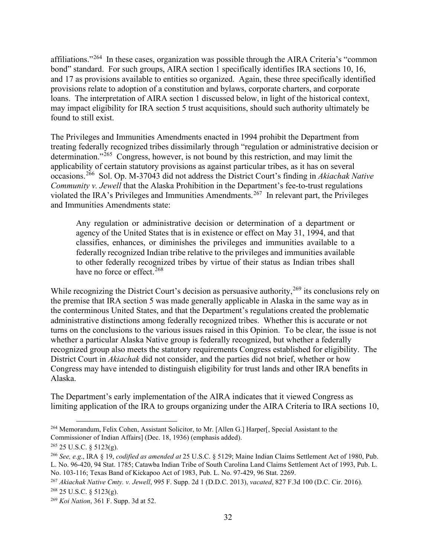affiliations."[264](#page-34-0) In these cases, organization was possible through the AIRA Criteria's "common bond" standard. For such groups, AIRA section 1 specifically identifies IRA sections 10, 16, and 17 as provisions available to entities so organized. Again, these three specifically identified provisions relate to adoption of a constitution and bylaws, corporate charters, and corporate loans. The interpretation of AIRA section 1 discussed below, in light of the historical context, may impact eligibility for IRA section 5 trust acquisitions, should such authority ultimately be found to still exist.

The Privileges and Immunities Amendments enacted in 1994 prohibit the Department from treating federally recognized tribes dissimilarly through "regulation or administrative decision or determination." $265$  Congress, however, is not bound by this restriction, and may limit the applicability of certain statutory provisions as against particular tribes, as it has on several occasions.[266](#page-34-2) Sol. Op. M-37043 did not address the District Court's finding in *Akiachak Native Community v. Jewell* that the Alaska Prohibition in the Department's fee-to-trust regulations violated the IRA's Privileges and Immunities Amendments.<sup>[267](#page-34-3)</sup> In relevant part, the Privileges and Immunities Amendments state:

Any regulation or administrative decision or determination of a department or agency of the United States that is in existence or effect on May 31, 1994, and that classifies, enhances, or diminishes the privileges and immunities available to a federally recognized Indian tribe relative to the privileges and immunities available to other federally recognized tribes by virtue of their status as Indian tribes shall have no force or effect. $268$ 

While recognizing the District Court's decision as persuasive authority, <sup>[269](#page-34-5)</sup> its conclusions rely on the premise that IRA section 5 was made generally applicable in Alaska in the same way as in the conterminous United States, and that the Department's regulations created the problematic administrative distinctions among federally recognized tribes. Whether this is accurate or not turns on the conclusions to the various issues raised in this Opinion. To be clear, the issue is not whether a particular Alaska Native group is federally recognized, but whether a federally recognized group also meets the statutory requirements Congress established for eligibility. The District Court in *Akiachak* did not consider, and the parties did not brief, whether or how Congress may have intended to distinguish eligibility for trust lands and other IRA benefits in Alaska.

The Department's early implementation of the AIRA indicates that it viewed Congress as limiting application of the IRA to groups organizing under the AIRA Criteria to IRA sections 10,

<span id="page-34-0"></span><sup>264</sup> Memorandum, Felix Cohen, Assistant Solicitor, to Mr. [Allen G.] Harper[, Special Assistant to the Commissioner of Indian Affairs] (Dec. 18, 1936) (emphasis added).

<span id="page-34-1"></span> $265$  25 U.S.C. § 5123(g).

<span id="page-34-2"></span><sup>266</sup> *See, e.g*., IRA § 19, *codified as amended at* 25 U.S.C. § 5129; Maine Indian Claims Settlement Act of 1980, Pub. L. No. 96-420, 94 Stat. 1785; Catawba Indian Tribe of South Carolina Land Claims Settlement Act of 1993, Pub. L. No. 103-116; Texas Band of Kickapoo Act of 1983, Pub. L. No. 97-429, 96 Stat. 2269.

<span id="page-34-4"></span><span id="page-34-3"></span><sup>267</sup> *Akiachak Native Cmty. v. Jewell*, 995 F. Supp. 2d 1 (D.D.C. 2013), *vacated*, 827 F.3d 100 (D.C. Cir. 2016).  $268$  25 U.S.C. § 5123(g).

<span id="page-34-5"></span><sup>269</sup> *Koi Nation*, 361 F. Supp. 3d at 52.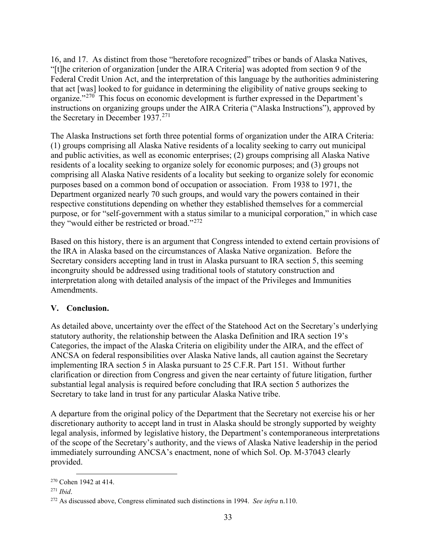16, and 17. As distinct from those "heretofore recognized" tribes or bands of Alaska Natives, "[t]he criterion of organization [under the AIRA Criteria] was adopted from section 9 of the Federal Credit Union Act, and the interpretation of this language by the authorities administering that act [was] looked to for guidance in determining the eligibility of native groups seeking to organize."[270](#page-35-0) This focus on economic development is further expressed in the Department's instructions on organizing groups under the AIRA Criteria ("Alaska Instructions"), approved by the Secretary in December 1937.<sup>[271](#page-35-1)</sup>

The Alaska Instructions set forth three potential forms of organization under the AIRA Criteria: (1) groups comprising all Alaska Native residents of a locality seeking to carry out municipal and public activities, as well as economic enterprises; (2) groups comprising all Alaska Native residents of a locality seeking to organize solely for economic purposes; and (3) groups not comprising all Alaska Native residents of a locality but seeking to organize solely for economic purposes based on a common bond of occupation or association. From 1938 to 1971, the Department organized nearly 70 such groups, and would vary the powers contained in their respective constitutions depending on whether they established themselves for a commercial purpose, or for "self-government with a status similar to a municipal corporation," in which case they "would either be restricted or broad."[272](#page-35-2)

Based on this history, there is an argument that Congress intended to extend certain provisions of the IRA in Alaska based on the circumstances of Alaska Native organization. Before the Secretary considers accepting land in trust in Alaska pursuant to IRA section 5, this seeming incongruity should be addressed using traditional tools of statutory construction and interpretation along with detailed analysis of the impact of the Privileges and Immunities Amendments.

# **V. Conclusion.**

As detailed above, uncertainty over the effect of the Statehood Act on the Secretary's underlying statutory authority, the relationship between the Alaska Definition and IRA section 19's Categories, the impact of the Alaska Criteria on eligibility under the AIRA, and the effect of ANCSA on federal responsibilities over Alaska Native lands, all caution against the Secretary implementing IRA section 5 in Alaska pursuant to 25 C.F.R. Part 151. Without further clarification or direction from Congress and given the near certainty of future litigation, further substantial legal analysis is required before concluding that IRA section 5 authorizes the Secretary to take land in trust for any particular Alaska Native tribe.

A departure from the original policy of the Department that the Secretary not exercise his or her discretionary authority to accept land in trust in Alaska should be strongly supported by weighty legal analysis, informed by legislative history, the Department's contemporaneous interpretations of the scope of the Secretary's authority, and the views of Alaska Native leadership in the period immediately surrounding ANCSA's enactment, none of which Sol. Op. M-37043 clearly provided.

<span id="page-35-0"></span><sup>270</sup> Cohen 1942 at 414.

<span id="page-35-1"></span><sup>271</sup> *Ibid*.

<span id="page-35-2"></span><sup>272</sup> As discussed above, Congress eliminated such distinctions in 1994. *See infra* n.110.